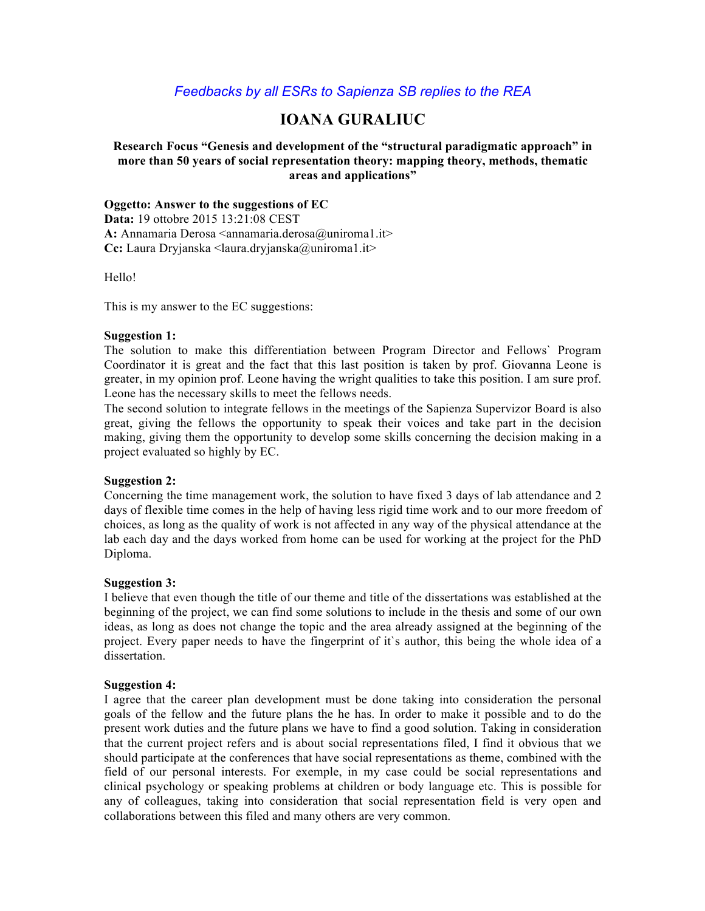# *Feedbacks by all ESRs to Sapienza SB replies to the REA*

# **IOANA GURALIUC**

## **Research Focus "Genesis and development of the "structural paradigmatic approach" in more than 50 years of social representation theory: mapping theory, methods, thematic areas and applications"**

### **Oggetto: Answer to the suggestions of EC**

**Data:** 19 ottobre 2015 13:21:08 CEST A: Annamaria Derosa <annamaria.derosa@uniroma1.it> **Cc:** Laura Dryjanska <laura.dryjanska@uniroma1.it>

Hello!

This is my answer to the EC suggestions:

### **Suggestion 1:**

The solution to make this differentiation between Program Director and Fellows` Program Coordinator it is great and the fact that this last position is taken by prof. Giovanna Leone is greater, in my opinion prof. Leone having the wright qualities to take this position. I am sure prof. Leone has the necessary skills to meet the fellows needs.

The second solution to integrate fellows in the meetings of the Sapienza Supervizor Board is also great, giving the fellows the opportunity to speak their voices and take part in the decision making, giving them the opportunity to develop some skills concerning the decision making in a project evaluated so highly by EC.

## **Suggestion 2:**

Concerning the time management work, the solution to have fixed 3 days of lab attendance and 2 days of flexible time comes in the help of having less rigid time work and to our more freedom of choices, as long as the quality of work is not affected in any way of the physical attendance at the lab each day and the days worked from home can be used for working at the project for the PhD Diploma.

### **Suggestion 3:**

I believe that even though the title of our theme and title of the dissertations was established at the beginning of the project, we can find some solutions to include in the thesis and some of our own ideas, as long as does not change the topic and the area already assigned at the beginning of the project. Every paper needs to have the fingerprint of it`s author, this being the whole idea of a dissertation.

## **Suggestion 4:**

I agree that the career plan development must be done taking into consideration the personal goals of the fellow and the future plans the he has. In order to make it possible and to do the present work duties and the future plans we have to find a good solution. Taking in consideration that the current project refers and is about social representations filed, I find it obvious that we should participate at the conferences that have social representations as theme, combined with the field of our personal interests. For exemple, in my case could be social representations and clinical psychology or speaking problems at children or body language etc. This is possible for any of colleagues, taking into consideration that social representation field is very open and collaborations between this filed and many others are very common.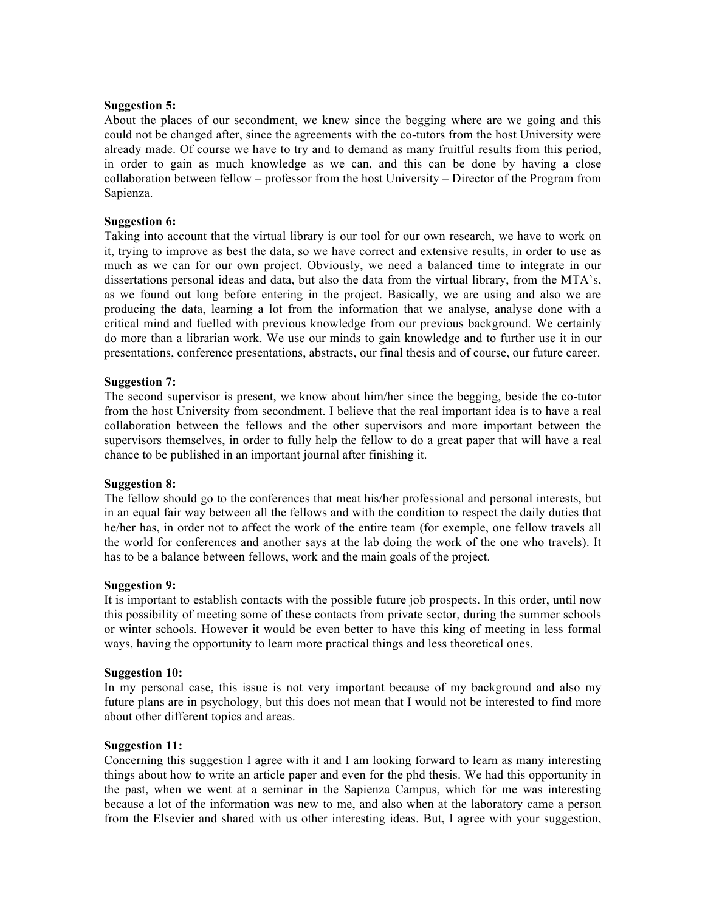### **Suggestion 5:**

About the places of our secondment, we knew since the begging where are we going and this could not be changed after, since the agreements with the co-tutors from the host University were already made. Of course we have to try and to demand as many fruitful results from this period, in order to gain as much knowledge as we can, and this can be done by having a close collaboration between fellow – professor from the host University – Director of the Program from Sapienza.

### **Suggestion 6:**

Taking into account that the virtual library is our tool for our own research, we have to work on it, trying to improve as best the data, so we have correct and extensive results, in order to use as much as we can for our own project. Obviously, we need a balanced time to integrate in our dissertations personal ideas and data, but also the data from the virtual library, from the MTA`s, as we found out long before entering in the project. Basically, we are using and also we are producing the data, learning a lot from the information that we analyse, analyse done with a critical mind and fuelled with previous knowledge from our previous background. We certainly do more than a librarian work. We use our minds to gain knowledge and to further use it in our presentations, conference presentations, abstracts, our final thesis and of course, our future career.

### **Suggestion 7:**

The second supervisor is present, we know about him/her since the begging, beside the co-tutor from the host University from secondment. I believe that the real important idea is to have a real collaboration between the fellows and the other supervisors and more important between the supervisors themselves, in order to fully help the fellow to do a great paper that will have a real chance to be published in an important journal after finishing it.

### **Suggestion 8:**

The fellow should go to the conferences that meat his/her professional and personal interests, but in an equal fair way between all the fellows and with the condition to respect the daily duties that he/her has, in order not to affect the work of the entire team (for exemple, one fellow travels all the world for conferences and another says at the lab doing the work of the one who travels). It has to be a balance between fellows, work and the main goals of the project.

### **Suggestion 9:**

It is important to establish contacts with the possible future job prospects. In this order, until now this possibility of meeting some of these contacts from private sector, during the summer schools or winter schools. However it would be even better to have this king of meeting in less formal ways, having the opportunity to learn more practical things and less theoretical ones.

#### **Suggestion 10:**

In my personal case, this issue is not very important because of my background and also my future plans are in psychology, but this does not mean that I would not be interested to find more about other different topics and areas.

### **Suggestion 11:**

Concerning this suggestion I agree with it and I am looking forward to learn as many interesting things about how to write an article paper and even for the phd thesis. We had this opportunity in the past, when we went at a seminar in the Sapienza Campus, which for me was interesting because a lot of the information was new to me, and also when at the laboratory came a person from the Elsevier and shared with us other interesting ideas. But, I agree with your suggestion,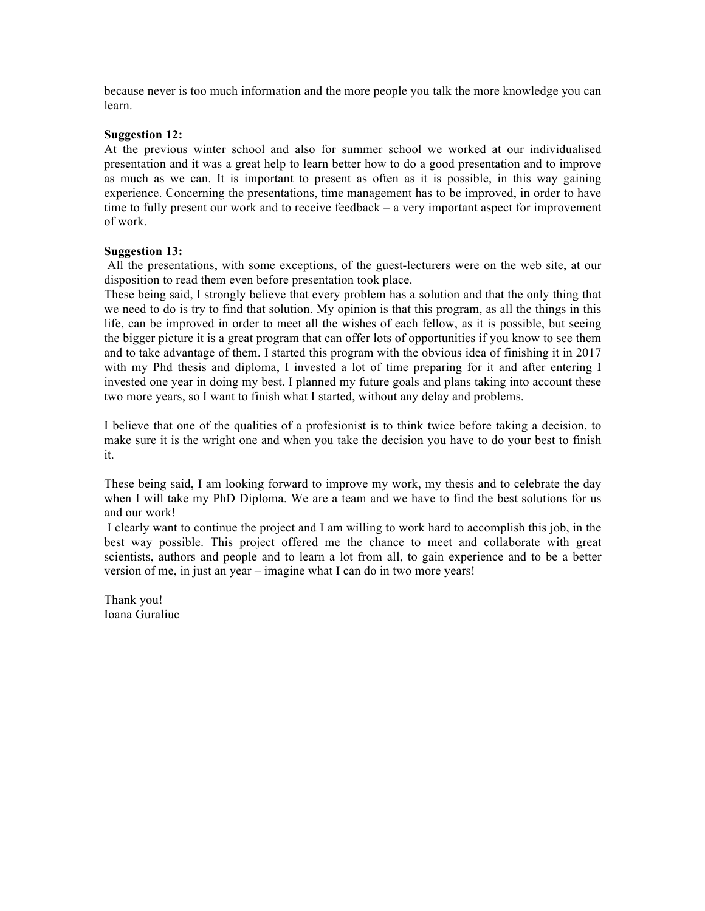because never is too much information and the more people you talk the more knowledge you can learn.

#### **Suggestion 12:**

At the previous winter school and also for summer school we worked at our individualised presentation and it was a great help to learn better how to do a good presentation and to improve as much as we can. It is important to present as often as it is possible, in this way gaining experience. Concerning the presentations, time management has to be improved, in order to have time to fully present our work and to receive feedback – a very important aspect for improvement of work.

#### **Suggestion 13:**

All the presentations, with some exceptions, of the guest-lecturers were on the web site, at our disposition to read them even before presentation took place.

These being said, I strongly believe that every problem has a solution and that the only thing that we need to do is try to find that solution. My opinion is that this program, as all the things in this life, can be improved in order to meet all the wishes of each fellow, as it is possible, but seeing the bigger picture it is a great program that can offer lots of opportunities if you know to see them and to take advantage of them. I started this program with the obvious idea of finishing it in 2017 with my Phd thesis and diploma, I invested a lot of time preparing for it and after entering I invested one year in doing my best. I planned my future goals and plans taking into account these two more years, so I want to finish what I started, without any delay and problems.

I believe that one of the qualities of a profesionist is to think twice before taking a decision, to make sure it is the wright one and when you take the decision you have to do your best to finish it.

These being said, I am looking forward to improve my work, my thesis and to celebrate the day when I will take my PhD Diploma. We are a team and we have to find the best solutions for us and our work!

I clearly want to continue the project and I am willing to work hard to accomplish this job, in the best way possible. This project offered me the chance to meet and collaborate with great scientists, authors and people and to learn a lot from all, to gain experience and to be a better version of me, in just an year – imagine what I can do in two more years!

Thank you! Ioana Guraliuc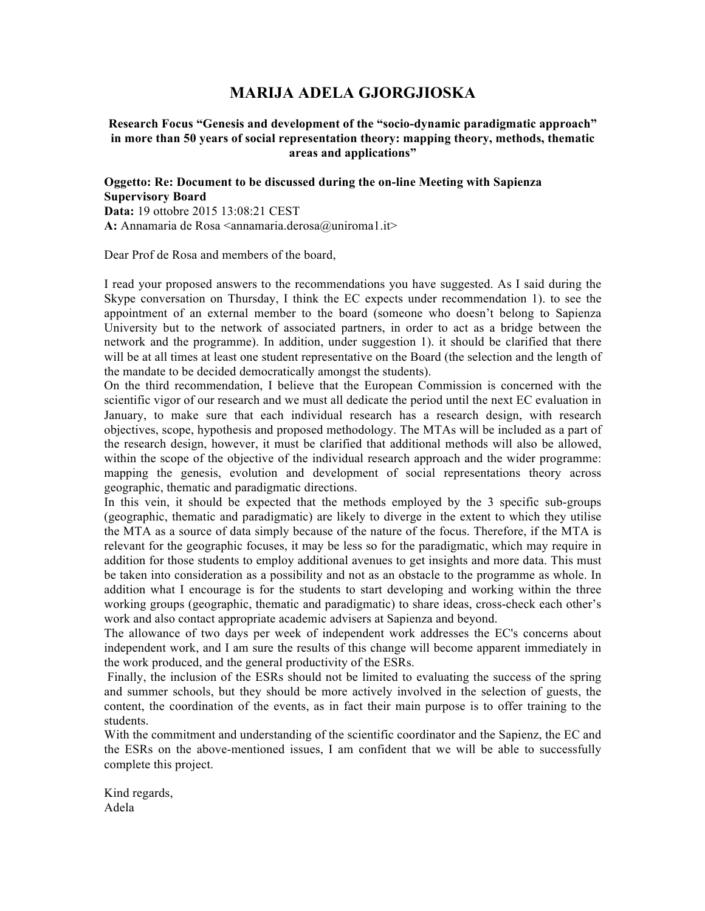# **MARIJA ADELA GJORGJIOSKA**

### **Research Focus "Genesis and development of the "socio-dynamic paradigmatic approach" in more than 50 years of social representation theory: mapping theory, methods, thematic areas and applications"**

### **Oggetto: Re: Document to be discussed during the on-line Meeting with Sapienza Supervisory Board Data:** 19 ottobre 2015 13:08:21 CEST A: Annamaria de Rosa <annamaria.derosa@uniroma1.it>

Dear Prof de Rosa and members of the board,

I read your proposed answers to the recommendations you have suggested. As I said during the Skype conversation on Thursday, I think the EC expects under recommendation 1). to see the appointment of an external member to the board (someone who doesn't belong to Sapienza University but to the network of associated partners, in order to act as a bridge between the network and the programme). In addition, under suggestion 1). it should be clarified that there will be at all times at least one student representative on the Board (the selection and the length of the mandate to be decided democratically amongst the students).

On the third recommendation, I believe that the European Commission is concerned with the scientific vigor of our research and we must all dedicate the period until the next EC evaluation in January, to make sure that each individual research has a research design, with research objectives, scope, hypothesis and proposed methodology. The MTAs will be included as a part of the research design, however, it must be clarified that additional methods will also be allowed, within the scope of the objective of the individual research approach and the wider programme: mapping the genesis, evolution and development of social representations theory across geographic, thematic and paradigmatic directions.

In this vein, it should be expected that the methods employed by the 3 specific sub-groups (geographic, thematic and paradigmatic) are likely to diverge in the extent to which they utilise the MTA as a source of data simply because of the nature of the focus. Therefore, if the MTA is relevant for the geographic focuses, it may be less so for the paradigmatic, which may require in addition for those students to employ additional avenues to get insights and more data. This must be taken into consideration as a possibility and not as an obstacle to the programme as whole. In addition what I encourage is for the students to start developing and working within the three working groups (geographic, thematic and paradigmatic) to share ideas, cross-check each other's work and also contact appropriate academic advisers at Sapienza and beyond.

The allowance of two days per week of independent work addresses the EC's concerns about independent work, and I am sure the results of this change will become apparent immediately in the work produced, and the general productivity of the ESRs.

Finally, the inclusion of the ESRs should not be limited to evaluating the success of the spring and summer schools, but they should be more actively involved in the selection of guests, the content, the coordination of the events, as in fact their main purpose is to offer training to the students.

With the commitment and understanding of the scientific coordinator and the Sapienz, the EC and the ESRs on the above-mentioned issues, I am confident that we will be able to successfully complete this project.

Kind regards, Adela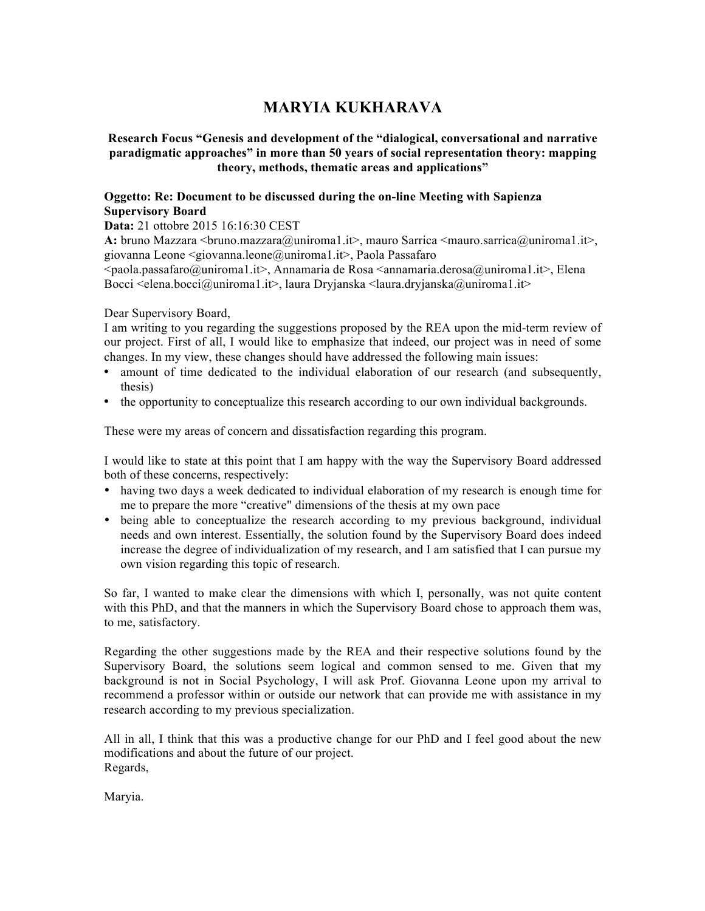# **MARYIA KUKHARAVA**

# **Research Focus "Genesis and development of the "dialogical, conversational and narrative paradigmatic approaches" in more than 50 years of social representation theory: mapping theory, methods, thematic areas and applications"**

# **Oggetto: Re: Document to be discussed during the on-line Meeting with Sapienza Supervisory Board**

**Data:** 21 ottobre 2015 16:16:30 CEST

A: bruno Mazzara <bruno.mazzara@uniroma1.it>, mauro Sarrica <mauro.sarrica@uniroma1.it>, giovanna Leone <giovanna.leone@uniroma1.it>, Paola Passafaro

<paola.passafaro@uniroma1.it>, Annamaria de Rosa <annamaria.derosa@uniroma1.it>, Elena Bocci  $\le$ elena.bocci@uniroma1.it>, laura Dryjanska  $\le$ laura.dryjanska@uniroma1.it>

Dear Supervisory Board,

I am writing to you regarding the suggestions proposed by the REA upon the mid-term review of our project. First of all, I would like to emphasize that indeed, our project was in need of some changes. In my view, these changes should have addressed the following main issues:

- amount of time dedicated to the individual elaboration of our research (and subsequently, thesis)
- the opportunity to conceptualize this research according to our own individual backgrounds.

These were my areas of concern and dissatisfaction regarding this program.

I would like to state at this point that I am happy with the way the Supervisory Board addressed both of these concerns, respectively:

- having two days a week dedicated to individual elaboration of my research is enough time for me to prepare the more "creative" dimensions of the thesis at my own pace
- being able to conceptualize the research according to my previous background, individual needs and own interest. Essentially, the solution found by the Supervisory Board does indeed increase the degree of individualization of my research, and I am satisfied that I can pursue my own vision regarding this topic of research.

So far, I wanted to make clear the dimensions with which I, personally, was not quite content with this PhD, and that the manners in which the Supervisory Board chose to approach them was, to me, satisfactory.

Regarding the other suggestions made by the REA and their respective solutions found by the Supervisory Board, the solutions seem logical and common sensed to me. Given that my background is not in Social Psychology, I will ask Prof. Giovanna Leone upon my arrival to recommend a professor within or outside our network that can provide me with assistance in my research according to my previous specialization.

All in all, I think that this was a productive change for our PhD and I feel good about the new modifications and about the future of our project. Regards,

Maryia.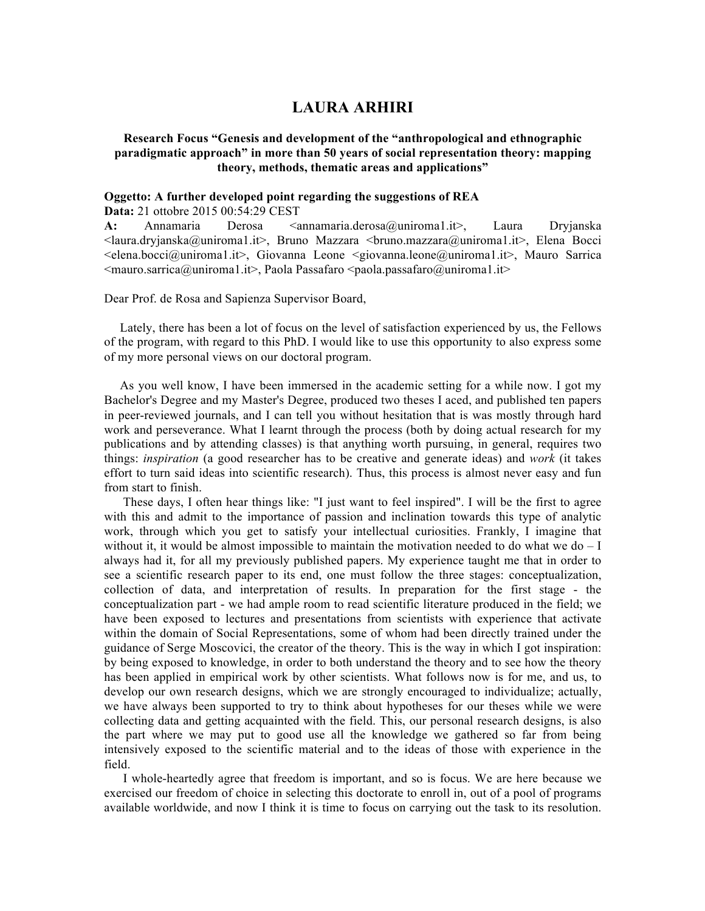# **LAURA ARHIRI**

### **Research Focus "Genesis and development of the "anthropological and ethnographic paradigmatic approach" in more than 50 years of social representation theory: mapping theory, methods, thematic areas and applications"**

### **Oggetto: A further developed point regarding the suggestions of REA**

**Data:** 21 ottobre 2015 00:54:29 CEST

A: Annamaria Derosa <annamaria.derosa@uniroma1.it>, Laura Dryjanska  $\langle$ laura.dryjanska@uniroma1.it>, Bruno Mazzara  $\langle$ bruno.mazzara@uniroma1.it>, Elena Bocci  $\le$ elena.bocci@uniroma1.it>, Giovanna Leone  $\leq$ giovanna.leone@uniroma1.it>, Mauro Sarrica  $\leq$ mauro.sarrica@uniroma1.it>, Paola Passafaro  $\leq$ paola.passafaro@uniroma1.it>

Dear Prof. de Rosa and Sapienza Supervisor Board,

 Lately, there has been a lot of focus on the level of satisfaction experienced by us, the Fellows of the program, with regard to this PhD. I would like to use this opportunity to also express some of my more personal views on our doctoral program.

 As you well know, I have been immersed in the academic setting for a while now. I got my Bachelor's Degree and my Master's Degree, produced two theses I aced, and published ten papers in peer-reviewed journals, and I can tell you without hesitation that is was mostly through hard work and perseverance. What I learnt through the process (both by doing actual research for my publications and by attending classes) is that anything worth pursuing, in general, requires two things: *inspiration* (a good researcher has to be creative and generate ideas) and *work* (it takes effort to turn said ideas into scientific research). Thus, this process is almost never easy and fun from start to finish.

 These days, I often hear things like: "I just want to feel inspired". I will be the first to agree with this and admit to the importance of passion and inclination towards this type of analytic work, through which you get to satisfy your intellectual curiosities. Frankly, I imagine that without it, it would be almost impossible to maintain the motivation needed to do what we do  $-I$ always had it, for all my previously published papers. My experience taught me that in order to see a scientific research paper to its end, one must follow the three stages: conceptualization, collection of data, and interpretation of results. In preparation for the first stage - the conceptualization part - we had ample room to read scientific literature produced in the field; we have been exposed to lectures and presentations from scientists with experience that activate within the domain of Social Representations, some of whom had been directly trained under the guidance of Serge Moscovici, the creator of the theory. This is the way in which I got inspiration: by being exposed to knowledge, in order to both understand the theory and to see how the theory has been applied in empirical work by other scientists. What follows now is for me, and us, to develop our own research designs, which we are strongly encouraged to individualize; actually, we have always been supported to try to think about hypotheses for our theses while we were collecting data and getting acquainted with the field. This, our personal research designs, is also the part where we may put to good use all the knowledge we gathered so far from being intensively exposed to the scientific material and to the ideas of those with experience in the field.

 I whole-heartedly agree that freedom is important, and so is focus. We are here because we exercised our freedom of choice in selecting this doctorate to enroll in, out of a pool of programs available worldwide, and now I think it is time to focus on carrying out the task to its resolution.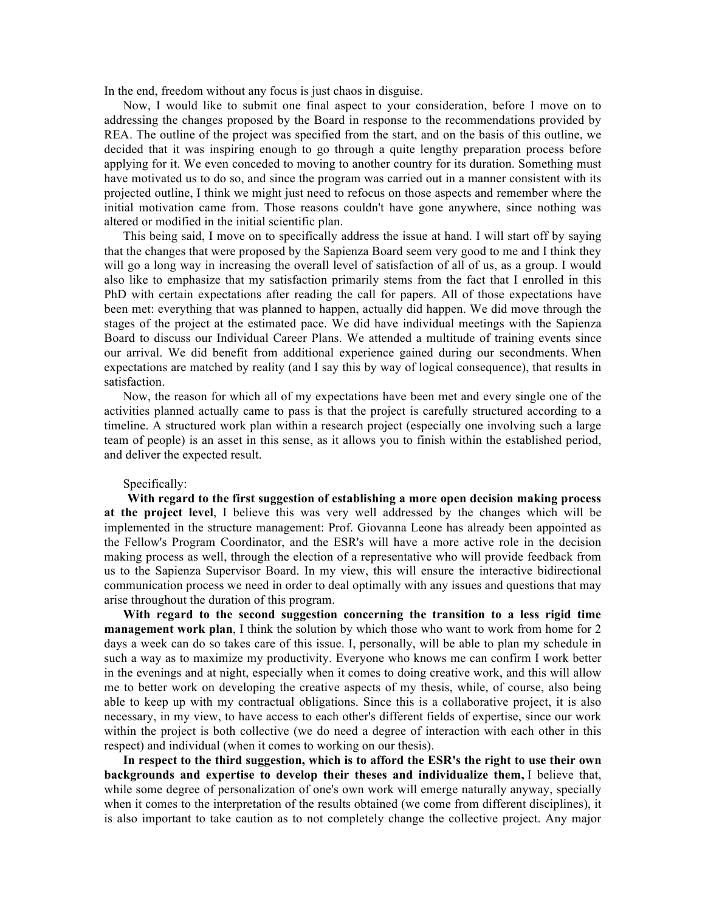In the end, freedom without any focus is just chaos in disguise.

 Now, I would like to submit one final aspect to your consideration, before I move on to addressing the changes proposed by the Board in response to the recommendations provided by REA. The outline of the project was specified from the start, and on the basis of this outline, we decided that it was inspiring enough to go through a quite lengthy preparation process before applying for it. We even conceded to moving to another country for its duration. Something must have motivated us to do so, and since the program was carried out in a manner consistent with its projected outline, I think we might just need to refocus on those aspects and remember where the initial motivation came from. Those reasons couldn't have gone anywhere, since nothing was altered or modified in the initial scientific plan.

 This being said, I move on to specifically address the issue at hand. I will start off by saying that the changes that were proposed by the Sapienza Board seem very good to me and I think they will go a long way in increasing the overall level of satisfaction of all of us, as a group. I would also like to emphasize that my satisfaction primarily stems from the fact that I enrolled in this PhD with certain expectations after reading the call for papers. All of those expectations have been met: everything that was planned to happen, actually did happen. We did move through the stages of the project at the estimated pace. We did have individual meetings with the Sapienza Board to discuss our Individual Career Plans. We attended a multitude of training events since our arrival. We did benefit from additional experience gained during our secondments. When expectations are matched by reality (and I say this by way of logical consequence), that results in satisfaction.

 Now, the reason for which all of my expectations have been met and every single one of the activities planned actually came to pass is that the project is carefully structured according to a timeline. A structured work plan within a research project (especially one involving such a large team of people) is an asset in this sense, as it allows you to finish within the established period, and deliver the expected result.

#### Specifically:

 **With regard to the first suggestion of establishing a more open decision making process at the project level**, I believe this was very well addressed by the changes which will be implemented in the structure management: Prof. Giovanna Leone has already been appointed as the Fellow's Program Coordinator, and the ESR's will have a more active role in the decision making process as well, through the election of a representative who will provide feedback from us to the Sapienza Supervisor Board. In my view, this will ensure the interactive bidirectional communication process we need in order to deal optimally with any issues and questions that may arise throughout the duration of this program.

 **With regard to the second suggestion concerning the transition to a less rigid time management work plan**, I think the solution by which those who want to work from home for 2 days a week can do so takes care of this issue. I, personally, will be able to plan my schedule in such a way as to maximize my productivity. Everyone who knows me can confirm I work better in the evenings and at night, especially when it comes to doing creative work, and this will allow me to better work on developing the creative aspects of my thesis, while, of course, also being able to keep up with my contractual obligations. Since this is a collaborative project, it is also necessary, in my view, to have access to each other's different fields of expertise, since our work within the project is both collective (we do need a degree of interaction with each other in this respect) and individual (when it comes to working on our thesis).

 **In respect to the third suggestion, which is to afford the ESR's the right to use their own backgrounds and expertise to develop their theses and individualize them,** I believe that, while some degree of personalization of one's own work will emerge naturally anyway, specially when it comes to the interpretation of the results obtained (we come from different disciplines), it is also important to take caution as to not completely change the collective project. Any major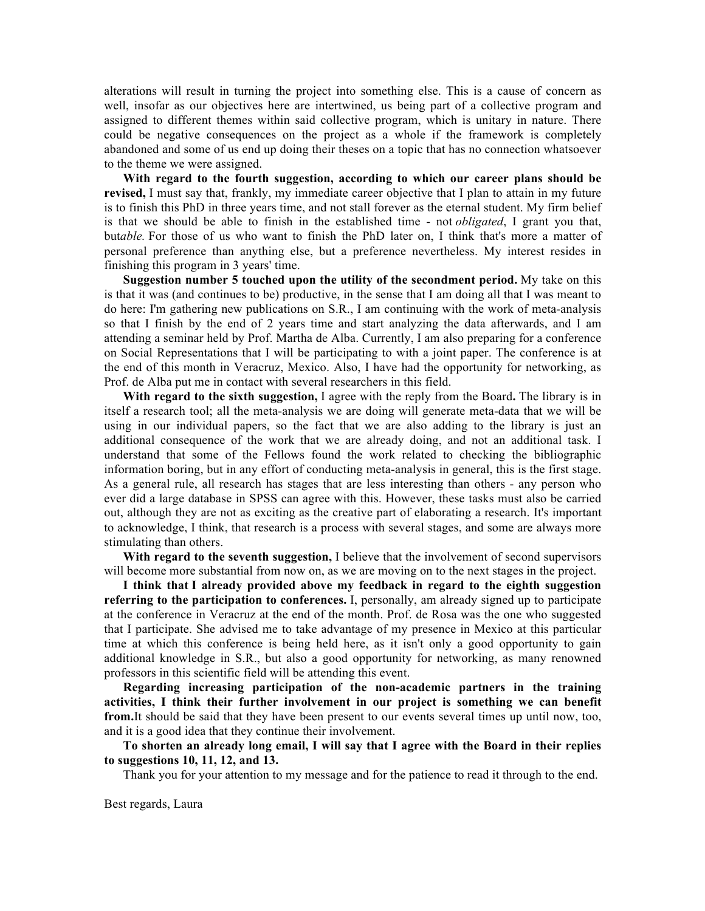alterations will result in turning the project into something else. This is a cause of concern as well, insofar as our objectives here are intertwined, us being part of a collective program and assigned to different themes within said collective program, which is unitary in nature. There could be negative consequences on the project as a whole if the framework is completely abandoned and some of us end up doing their theses on a topic that has no connection whatsoever to the theme we were assigned.

 **With regard to the fourth suggestion, according to which our career plans should be revised,** I must say that, frankly, my immediate career objective that I plan to attain in my future is to finish this PhD in three years time, and not stall forever as the eternal student. My firm belief is that we should be able to finish in the established time - not *obligated*, I grant you that, but*able.* For those of us who want to finish the PhD later on, I think that's more a matter of personal preference than anything else, but a preference nevertheless. My interest resides in finishing this program in 3 years' time.

 **Suggestion number 5 touched upon the utility of the secondment period.** My take on this is that it was (and continues to be) productive, in the sense that I am doing all that I was meant to do here: I'm gathering new publications on S.R., I am continuing with the work of meta-analysis so that I finish by the end of 2 years time and start analyzing the data afterwards, and I am attending a seminar held by Prof. Martha de Alba. Currently, I am also preparing for a conference on Social Representations that I will be participating to with a joint paper. The conference is at the end of this month in Veracruz, Mexico. Also, I have had the opportunity for networking, as Prof. de Alba put me in contact with several researchers in this field.

 **With regard to the sixth suggestion,** I agree with the reply from the Board**.** The library is in itself a research tool; all the meta-analysis we are doing will generate meta-data that we will be using in our individual papers, so the fact that we are also adding to the library is just an additional consequence of the work that we are already doing, and not an additional task. I understand that some of the Fellows found the work related to checking the bibliographic information boring, but in any effort of conducting meta-analysis in general, this is the first stage. As a general rule, all research has stages that are less interesting than others - any person who ever did a large database in SPSS can agree with this. However, these tasks must also be carried out, although they are not as exciting as the creative part of elaborating a research. It's important to acknowledge, I think, that research is a process with several stages, and some are always more stimulating than others.

 **With regard to the seventh suggestion,** I believe that the involvement of second supervisors will become more substantial from now on, as we are moving on to the next stages in the project.

 **I think that I already provided above my feedback in regard to the eighth suggestion referring to the participation to conferences.** I, personally, am already signed up to participate at the conference in Veracruz at the end of the month. Prof. de Rosa was the one who suggested that I participate. She advised me to take advantage of my presence in Mexico at this particular time at which this conference is being held here, as it isn't only a good opportunity to gain additional knowledge in S.R., but also a good opportunity for networking, as many renowned professors in this scientific field will be attending this event.

 **Regarding increasing participation of the non-academic partners in the training activities, I think their further involvement in our project is something we can benefit from.**It should be said that they have been present to our events several times up until now, too, and it is a good idea that they continue their involvement.

 **To shorten an already long email, I will say that I agree with the Board in their replies to suggestions 10, 11, 12, and 13.**

Thank you for your attention to my message and for the patience to read it through to the end.

Best regards, Laura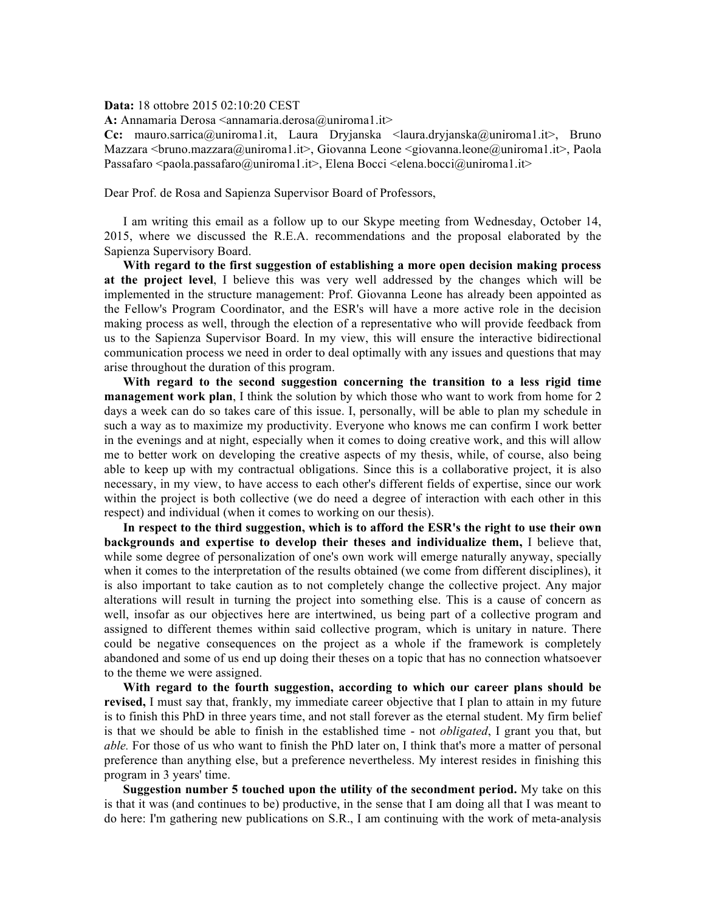**Data:** 18 ottobre 2015 02:10:20 CEST

**A:** Annamaria Derosa <annamaria.derosa@uniroma1.it>

**Cc:** mauro.sarrica@uniroma1.it, Laura Dryjanska <laura.dryjanska@uniroma1.it>, Bruno Mazzara  $\langle$ bruno.mazzara@uniroma1.it>, Giovanna Leone  $\langle$ giovanna.leone@uniroma1.it>, Paola Passafaro  $\leq$ paola.passafaro $@$ uniroma1.it>, Elena Bocci  $\leq$ elena.bocci $@$ uniroma1.it>

Dear Prof. de Rosa and Sapienza Supervisor Board of Professors,

 I am writing this email as a follow up to our Skype meeting from Wednesday, October 14, 2015, where we discussed the R.E.A. recommendations and the proposal elaborated by the Sapienza Supervisory Board.

 **With regard to the first suggestion of establishing a more open decision making process at the project level**, I believe this was very well addressed by the changes which will be implemented in the structure management: Prof. Giovanna Leone has already been appointed as the Fellow's Program Coordinator, and the ESR's will have a more active role in the decision making process as well, through the election of a representative who will provide feedback from us to the Sapienza Supervisor Board. In my view, this will ensure the interactive bidirectional communication process we need in order to deal optimally with any issues and questions that may arise throughout the duration of this program.

 **With regard to the second suggestion concerning the transition to a less rigid time management work plan**, I think the solution by which those who want to work from home for 2 days a week can do so takes care of this issue. I, personally, will be able to plan my schedule in such a way as to maximize my productivity. Everyone who knows me can confirm I work better in the evenings and at night, especially when it comes to doing creative work, and this will allow me to better work on developing the creative aspects of my thesis, while, of course, also being able to keep up with my contractual obligations. Since this is a collaborative project, it is also necessary, in my view, to have access to each other's different fields of expertise, since our work within the project is both collective (we do need a degree of interaction with each other in this respect) and individual (when it comes to working on our thesis).

 **In respect to the third suggestion, which is to afford the ESR's the right to use their own backgrounds and expertise to develop their theses and individualize them,** I believe that, while some degree of personalization of one's own work will emerge naturally anyway, specially when it comes to the interpretation of the results obtained (we come from different disciplines), it is also important to take caution as to not completely change the collective project. Any major alterations will result in turning the project into something else. This is a cause of concern as well, insofar as our objectives here are intertwined, us being part of a collective program and assigned to different themes within said collective program, which is unitary in nature. There could be negative consequences on the project as a whole if the framework is completely abandoned and some of us end up doing their theses on a topic that has no connection whatsoever to the theme we were assigned.

 **With regard to the fourth suggestion, according to which our career plans should be revised,** I must say that, frankly, my immediate career objective that I plan to attain in my future is to finish this PhD in three years time, and not stall forever as the eternal student. My firm belief is that we should be able to finish in the established time - not *obligated*, I grant you that, but *able.* For those of us who want to finish the PhD later on, I think that's more a matter of personal preference than anything else, but a preference nevertheless. My interest resides in finishing this program in 3 years' time.

 **Suggestion number 5 touched upon the utility of the secondment period.** My take on this is that it was (and continues to be) productive, in the sense that I am doing all that I was meant to do here: I'm gathering new publications on S.R., I am continuing with the work of meta-analysis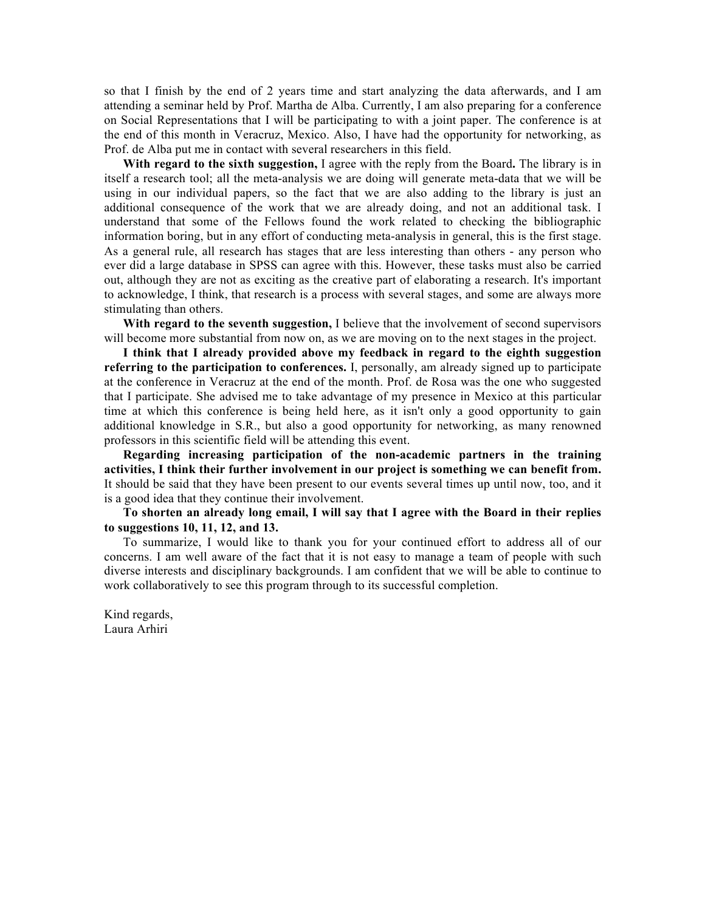so that I finish by the end of 2 years time and start analyzing the data afterwards, and I am attending a seminar held by Prof. Martha de Alba. Currently, I am also preparing for a conference on Social Representations that I will be participating to with a joint paper. The conference is at the end of this month in Veracruz, Mexico. Also, I have had the opportunity for networking, as Prof. de Alba put me in contact with several researchers in this field.

 **With regard to the sixth suggestion,** I agree with the reply from the Board**.** The library is in itself a research tool; all the meta-analysis we are doing will generate meta-data that we will be using in our individual papers, so the fact that we are also adding to the library is just an additional consequence of the work that we are already doing, and not an additional task. I understand that some of the Fellows found the work related to checking the bibliographic information boring, but in any effort of conducting meta-analysis in general, this is the first stage. As a general rule, all research has stages that are less interesting than others - any person who ever did a large database in SPSS can agree with this. However, these tasks must also be carried out, although they are not as exciting as the creative part of elaborating a research. It's important to acknowledge, I think, that research is a process with several stages, and some are always more stimulating than others.

 **With regard to the seventh suggestion,** I believe that the involvement of second supervisors will become more substantial from now on, as we are moving on to the next stages in the project.

 **I think that I already provided above my feedback in regard to the eighth suggestion referring to the participation to conferences.** I, personally, am already signed up to participate at the conference in Veracruz at the end of the month. Prof. de Rosa was the one who suggested that I participate. She advised me to take advantage of my presence in Mexico at this particular time at which this conference is being held here, as it isn't only a good opportunity to gain additional knowledge in S.R., but also a good opportunity for networking, as many renowned professors in this scientific field will be attending this event.

 **Regarding increasing participation of the non-academic partners in the training activities, I think their further involvement in our project is something we can benefit from.** It should be said that they have been present to our events several times up until now, too, and it is a good idea that they continue their involvement.

 **To shorten an already long email, I will say that I agree with the Board in their replies to suggestions 10, 11, 12, and 13.**

 To summarize, I would like to thank you for your continued effort to address all of our concerns. I am well aware of the fact that it is not easy to manage a team of people with such diverse interests and disciplinary backgrounds. I am confident that we will be able to continue to work collaboratively to see this program through to its successful completion.

Kind regards, Laura Arhiri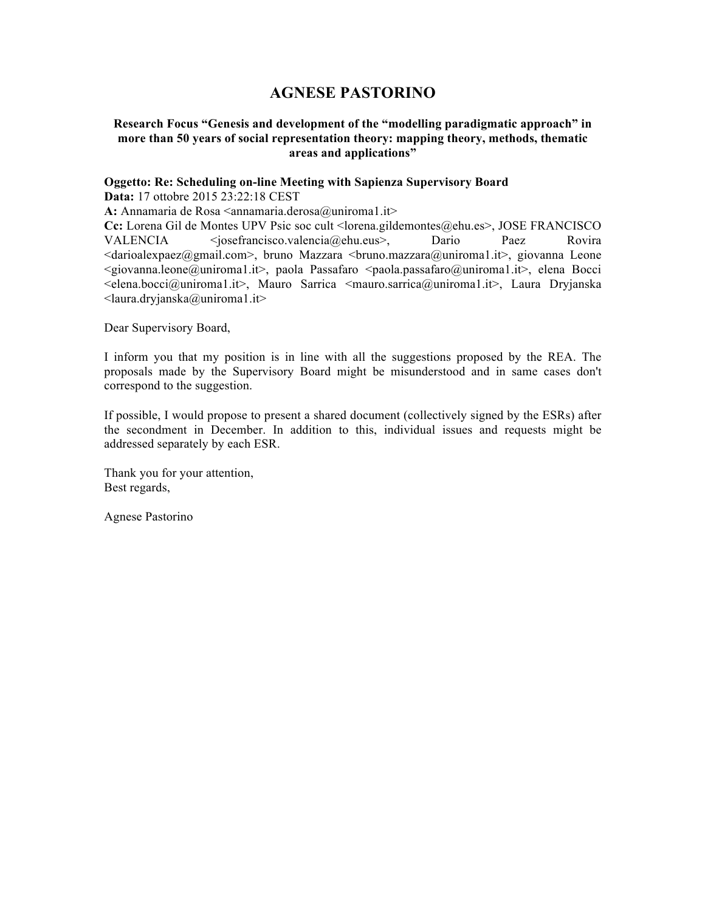# **AGNESE PASTORINO**

### **Research Focus "Genesis and development of the "modelling paradigmatic approach" in more than 50 years of social representation theory: mapping theory, methods, thematic areas and applications"**

### **Oggetto: Re: Scheduling on-line Meeting with Sapienza Supervisory Board**

**Data:** 17 ottobre 2015 23:22:18 CEST

A: Annamaria de Rosa <annamaria.derosa@uniroma1.it>

**Cc:** Lorena Gil de Montes UPV Psic soc cult <lorena.gildemontes@ehu.es>, JOSE FRANCISCO VALENCIA <josefrancisco.valencia@ehu.eus>, Dario Paez Rovira  $\alpha$ darioalexpaez@gmail.com>, bruno Mazzara  $\alpha$ bruno.mazzara@uniroma1.it>, giovanna Leone  $\leq$ giovanna.leone@uniroma1.it>, paola Passafaro  $\leq$ paola.passafaro@uniroma1.it>, elena Bocci <elena.bocci@uniroma1.it>, Mauro Sarrica <mauro.sarrica@uniroma1.it>, Laura Dryjanska <laura.dryjanska@uniroma1.it>

Dear Supervisory Board,

I inform you that my position is in line with all the suggestions proposed by the REA. The proposals made by the Supervisory Board might be misunderstood and in same cases don't correspond to the suggestion.

If possible, I would propose to present a shared document (collectively signed by the ESRs) after the secondment in December. In addition to this, individual issues and requests might be addressed separately by each ESR.

Thank you for your attention, Best regards,

Agnese Pastorino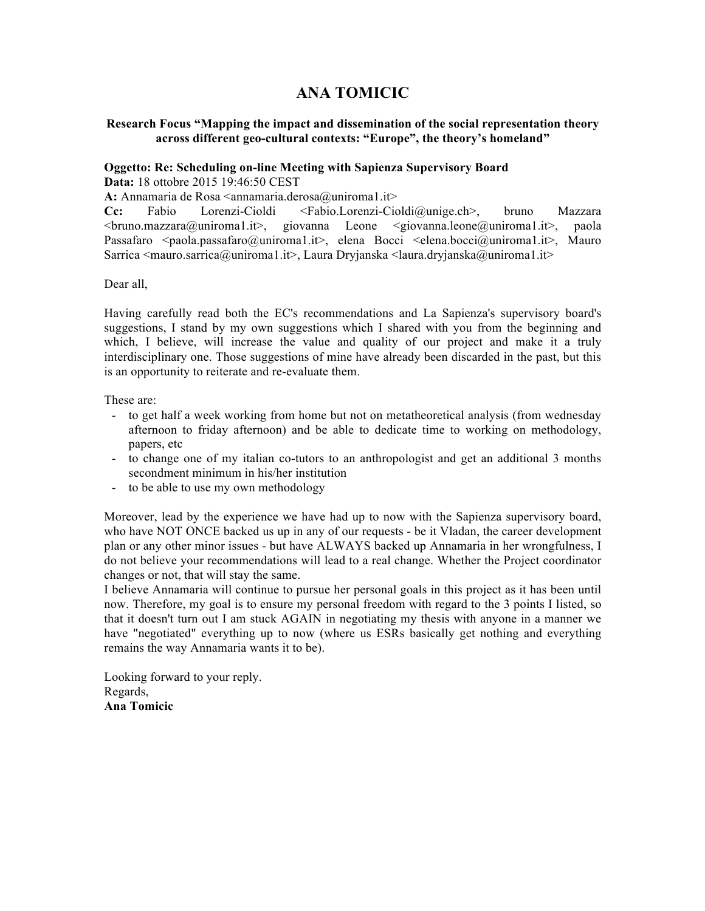# **ANA TOMICIC**

## **Research Focus "Mapping the impact and dissemination of the social representation theory across different geo-cultural contexts: "Europe", the theory's homeland"**

# **Oggetto: Re: Scheduling on-line Meeting with Sapienza Supervisory Board**

**Data:** 18 ottobre 2015 19:46:50 CEST

A: Annamaria de Rosa <annamaria.derosa@uniroma1.it>

**Cc:** Fabio Lorenzi-Cioldi <Fabio.Lorenzi-Cioldi@unige.ch>, bruno Mazzara <bruno.mazzara@uniroma1.it>, giovanna Leone <giovanna.leone@uniroma1.it>, paola Passafaro <paola.passafaro@uniroma1.it>, elena Bocci <elena.bocci@uniroma1.it>, Mauro Sarrica  $\langle$ mauro.sarrica@uniroma1.it>, Laura Dryjanska  $\langle$ laura.dryjanska@uniroma1.it>

Dear all,

Having carefully read both the EC's recommendations and La Sapienza's supervisory board's suggestions, I stand by my own suggestions which I shared with you from the beginning and which, I believe, will increase the value and quality of our project and make it a truly interdisciplinary one. Those suggestions of mine have already been discarded in the past, but this is an opportunity to reiterate and re-evaluate them.

These are:

- to get half a week working from home but not on metatheoretical analysis (from wednesday afternoon to friday afternoon) and be able to dedicate time to working on methodology, papers, etc
- to change one of my italian co-tutors to an anthropologist and get an additional 3 months secondment minimum in his/her institution
- to be able to use my own methodology

Moreover, lead by the experience we have had up to now with the Sapienza supervisory board, who have NOT ONCE backed us up in any of our requests - be it Vladan, the career development plan or any other minor issues - but have ALWAYS backed up Annamaria in her wrongfulness, I do not believe your recommendations will lead to a real change. Whether the Project coordinator changes or not, that will stay the same.

I believe Annamaria will continue to pursue her personal goals in this project as it has been until now. Therefore, my goal is to ensure my personal freedom with regard to the 3 points I listed, so that it doesn't turn out I am stuck AGAIN in negotiating my thesis with anyone in a manner we have "negotiated" everything up to now (where us ESRs basically get nothing and everything remains the way Annamaria wants it to be).

Looking forward to your reply. Regards, **Ana Tomicic**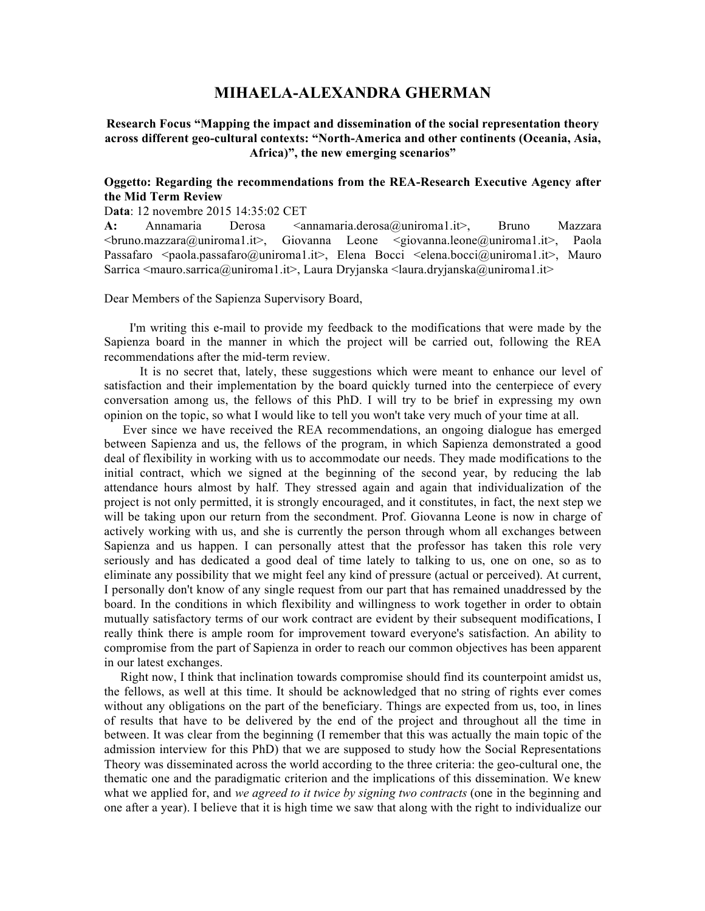# **MIHAELA-ALEXANDRA GHERMAN**

**Research Focus "Mapping the impact and dissemination of the social representation theory across different geo-cultural contexts: "North-America and other continents (Oceania, Asia, Africa)", the new emerging scenarios"**

### **Oggetto: Regarding the recommendations from the REA-Research Executive Agency after the Mid Term Review**

#### D**ata**: 12 novembre 2015 14:35:02 CET

A: Annamaria Derosa <annamaria.derosa@uniroma1.it>, Bruno Mazzara <bruno.mazzara@uniroma1.it>, Giovanna Leone <giovanna.leone@uniroma1.it>, Paola Passafaro <paola.passafaro@uniroma1.it>, Elena Bocci <elena.bocci@uniroma1.it>, Mauro Sarrica  $\langle$ mauro.sarrica@uniroma1.it>, Laura Dryjanska  $\langle$ laura.dryjanska@uniroma1.it>

Dear Members of the Sapienza Supervisory Board,

I'm writing this e-mail to provide my feedback to the modifications that were made by the Sapienza board in the manner in which the project will be carried out, following the REA recommendations after the mid-term review.

It is no secret that, lately, these suggestions which were meant to enhance our level of satisfaction and their implementation by the board quickly turned into the centerpiece of every conversation among us, the fellows of this PhD. I will try to be brief in expressing my own opinion on the topic, so what I would like to tell you won't take very much of your time at all.

Ever since we have received the REA recommendations, an ongoing dialogue has emerged between Sapienza and us, the fellows of the program, in which Sapienza demonstrated a good deal of flexibility in working with us to accommodate our needs. They made modifications to the initial contract, which we signed at the beginning of the second year, by reducing the lab attendance hours almost by half. They stressed again and again that individualization of the project is not only permitted, it is strongly encouraged, and it constitutes, in fact, the next step we will be taking upon our return from the secondment. Prof. Giovanna Leone is now in charge of actively working with us, and she is currently the person through whom all exchanges between Sapienza and us happen. I can personally attest that the professor has taken this role very seriously and has dedicated a good deal of time lately to talking to us, one on one, so as to eliminate any possibility that we might feel any kind of pressure (actual or perceived). At current, I personally don't know of any single request from our part that has remained unaddressed by the board. In the conditions in which flexibility and willingness to work together in order to obtain mutually satisfactory terms of our work contract are evident by their subsequent modifications, I really think there is ample room for improvement toward everyone's satisfaction. An ability to compromise from the part of Sapienza in order to reach our common objectives has been apparent in our latest exchanges.

Right now, I think that inclination towards compromise should find its counterpoint amidst us, the fellows, as well at this time. It should be acknowledged that no string of rights ever comes without any obligations on the part of the beneficiary. Things are expected from us, too, in lines of results that have to be delivered by the end of the project and throughout all the time in between. It was clear from the beginning (I remember that this was actually the main topic of the admission interview for this PhD) that we are supposed to study how the Social Representations Theory was disseminated across the world according to the three criteria: the geo-cultural one, the thematic one and the paradigmatic criterion and the implications of this dissemination. We knew what we applied for, and *we agreed to it twice by signing two contracts* (one in the beginning and one after a year). I believe that it is high time we saw that along with the right to individualize our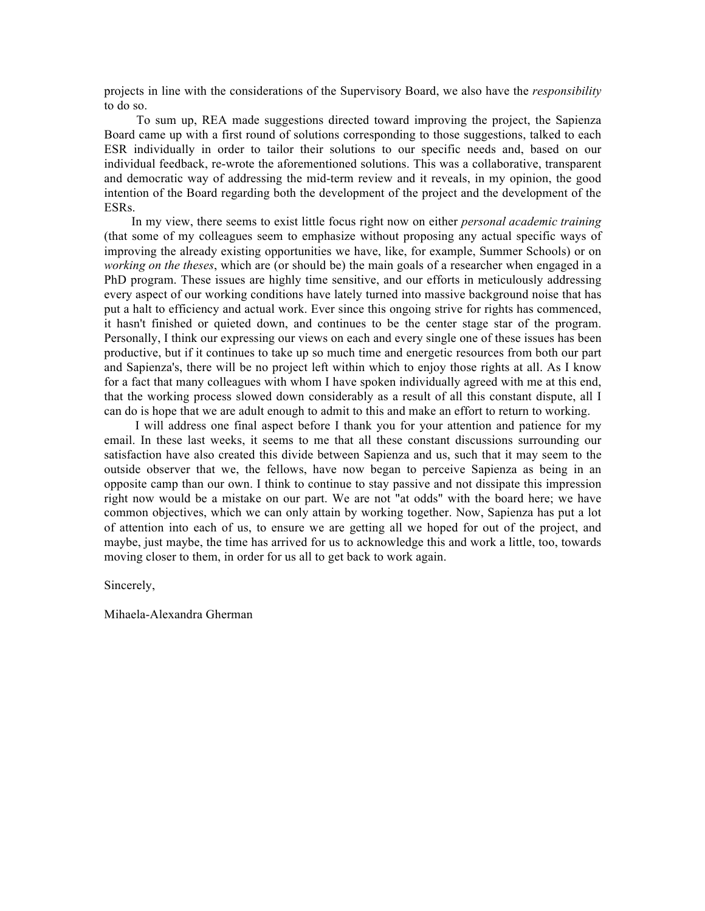projects in line with the considerations of the Supervisory Board, we also have the *responsibility* to do so.

To sum up, REA made suggestions directed toward improving the project, the Sapienza Board came up with a first round of solutions corresponding to those suggestions, talked to each ESR individually in order to tailor their solutions to our specific needs and, based on our individual feedback, re-wrote the aforementioned solutions. This was a collaborative, transparent and democratic way of addressing the mid-term review and it reveals, in my opinion, the good intention of the Board regarding both the development of the project and the development of the ESRs.

In my view, there seems to exist little focus right now on either *personal academic training*  (that some of my colleagues seem to emphasize without proposing any actual specific ways of improving the already existing opportunities we have, like, for example, Summer Schools) or on *working on the theses*, which are (or should be) the main goals of a researcher when engaged in a PhD program. These issues are highly time sensitive, and our efforts in meticulously addressing every aspect of our working conditions have lately turned into massive background noise that has put a halt to efficiency and actual work. Ever since this ongoing strive for rights has commenced, it hasn't finished or quieted down, and continues to be the center stage star of the program. Personally, I think our expressing our views on each and every single one of these issues has been productive, but if it continues to take up so much time and energetic resources from both our part and Sapienza's, there will be no project left within which to enjoy those rights at all. As I know for a fact that many colleagues with whom I have spoken individually agreed with me at this end, that the working process slowed down considerably as a result of all this constant dispute, all I can do is hope that we are adult enough to admit to this and make an effort to return to working.

I will address one final aspect before I thank you for your attention and patience for my email. In these last weeks, it seems to me that all these constant discussions surrounding our satisfaction have also created this divide between Sapienza and us, such that it may seem to the outside observer that we, the fellows, have now began to perceive Sapienza as being in an opposite camp than our own. I think to continue to stay passive and not dissipate this impression right now would be a mistake on our part. We are not "at odds" with the board here; we have common objectives, which we can only attain by working together. Now, Sapienza has put a lot of attention into each of us, to ensure we are getting all we hoped for out of the project, and maybe, just maybe, the time has arrived for us to acknowledge this and work a little, too, towards moving closer to them, in order for us all to get back to work again.

Sincerely,

Mihaela-Alexandra Gherman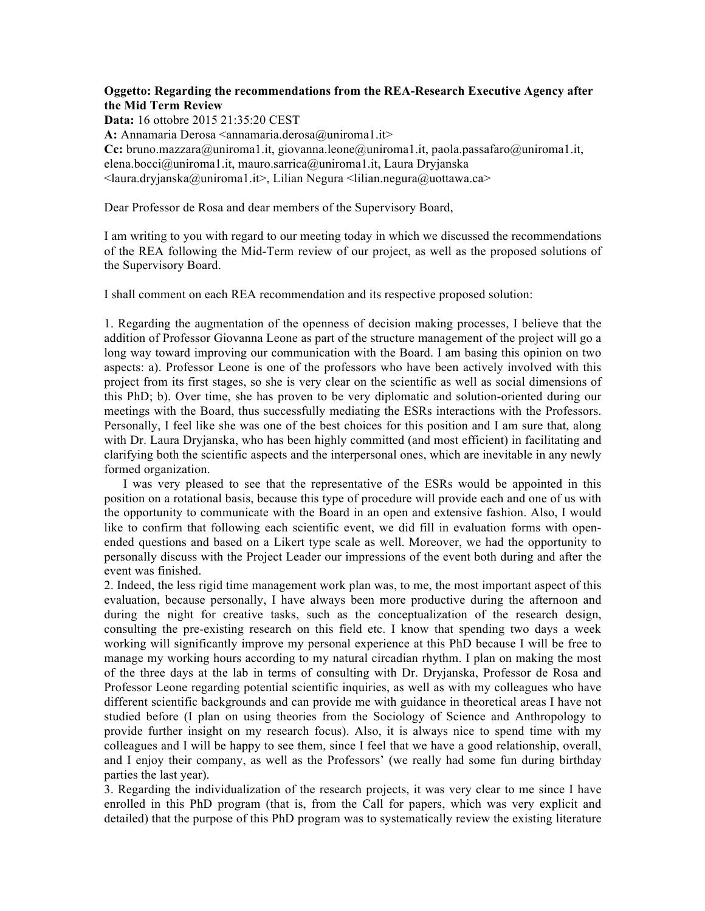### **Oggetto: Regarding the recommendations from the REA-Research Executive Agency after the Mid Term Review**

**Data:** 16 ottobre 2015 21:35:20 CEST

**A:** Annamaria Derosa <annamaria.derosa@uniroma1.it>

**Cc:** bruno.mazzara@uniroma1.it, giovanna.leone@uniroma1.it, paola.passafaro@uniroma1.it, elena.bocci@uniroma1.it, mauro.sarrica@uniroma1.it, Laura Dryjanska  $\alpha$ aura.dryjanska@uniroma1.it>, Lilian Negura  $\alpha$ lilian.negura@uottawa.ca>

Dear Professor de Rosa and dear members of the Supervisory Board,

I am writing to you with regard to our meeting today in which we discussed the recommendations of the REA following the Mid-Term review of our project, as well as the proposed solutions of the Supervisory Board.

I shall comment on each REA recommendation and its respective proposed solution:

1. Regarding the augmentation of the openness of decision making processes, I believe that the addition of Professor Giovanna Leone as part of the structure management of the project will go a long way toward improving our communication with the Board. I am basing this opinion on two aspects: a). Professor Leone is one of the professors who have been actively involved with this project from its first stages, so she is very clear on the scientific as well as social dimensions of this PhD; b). Over time, she has proven to be very diplomatic and solution-oriented during our meetings with the Board, thus successfully mediating the ESRs interactions with the Professors. Personally, I feel like she was one of the best choices for this position and I am sure that, along with Dr. Laura Dryjanska, who has been highly committed (and most efficient) in facilitating and clarifying both the scientific aspects and the interpersonal ones, which are inevitable in any newly formed organization.

 I was very pleased to see that the representative of the ESRs would be appointed in this position on a rotational basis, because this type of procedure will provide each and one of us with the opportunity to communicate with the Board in an open and extensive fashion. Also, I would like to confirm that following each scientific event, we did fill in evaluation forms with openended questions and based on a Likert type scale as well. Moreover, we had the opportunity to personally discuss with the Project Leader our impressions of the event both during and after the event was finished.

2. Indeed, the less rigid time management work plan was, to me, the most important aspect of this evaluation, because personally, I have always been more productive during the afternoon and during the night for creative tasks, such as the conceptualization of the research design, consulting the pre-existing research on this field etc. I know that spending two days a week working will significantly improve my personal experience at this PhD because I will be free to manage my working hours according to my natural circadian rhythm. I plan on making the most of the three days at the lab in terms of consulting with Dr. Dryjanska, Professor de Rosa and Professor Leone regarding potential scientific inquiries, as well as with my colleagues who have different scientific backgrounds and can provide me with guidance in theoretical areas I have not studied before (I plan on using theories from the Sociology of Science and Anthropology to provide further insight on my research focus). Also, it is always nice to spend time with my colleagues and I will be happy to see them, since I feel that we have a good relationship, overall, and I enjoy their company, as well as the Professors' (we really had some fun during birthday parties the last year).

3. Regarding the individualization of the research projects, it was very clear to me since I have enrolled in this PhD program (that is, from the Call for papers, which was very explicit and detailed) that the purpose of this PhD program was to systematically review the existing literature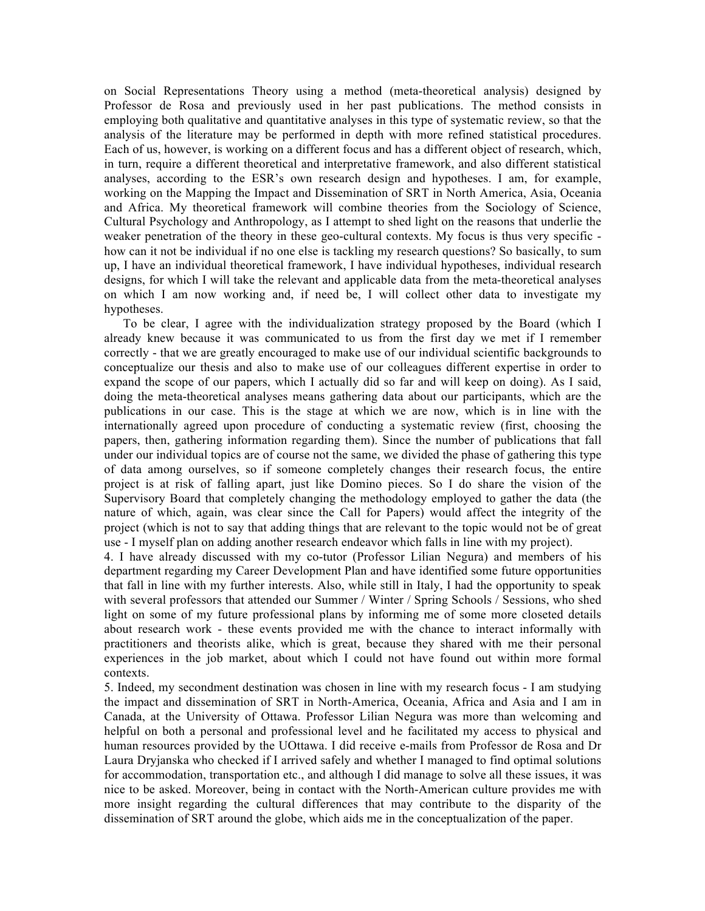on Social Representations Theory using a method (meta-theoretical analysis) designed by Professor de Rosa and previously used in her past publications. The method consists in employing both qualitative and quantitative analyses in this type of systematic review, so that the analysis of the literature may be performed in depth with more refined statistical procedures. Each of us, however, is working on a different focus and has a different object of research, which, in turn, require a different theoretical and interpretative framework, and also different statistical analyses, according to the ESR's own research design and hypotheses. I am, for example, working on the Mapping the Impact and Dissemination of SRT in North America, Asia, Oceania and Africa. My theoretical framework will combine theories from the Sociology of Science, Cultural Psychology and Anthropology, as I attempt to shed light on the reasons that underlie the weaker penetration of the theory in these geo-cultural contexts. My focus is thus very specific how can it not be individual if no one else is tackling my research questions? So basically, to sum up, I have an individual theoretical framework, I have individual hypotheses, individual research designs, for which I will take the relevant and applicable data from the meta-theoretical analyses on which I am now working and, if need be, I will collect other data to investigate my hypotheses.

 To be clear, I agree with the individualization strategy proposed by the Board (which I already knew because it was communicated to us from the first day we met if I remember correctly - that we are greatly encouraged to make use of our individual scientific backgrounds to conceptualize our thesis and also to make use of our colleagues different expertise in order to expand the scope of our papers, which I actually did so far and will keep on doing). As I said, doing the meta-theoretical analyses means gathering data about our participants, which are the publications in our case. This is the stage at which we are now, which is in line with the internationally agreed upon procedure of conducting a systematic review (first, choosing the papers, then, gathering information regarding them). Since the number of publications that fall under our individual topics are of course not the same, we divided the phase of gathering this type of data among ourselves, so if someone completely changes their research focus, the entire project is at risk of falling apart, just like Domino pieces. So I do share the vision of the Supervisory Board that completely changing the methodology employed to gather the data (the nature of which, again, was clear since the Call for Papers) would affect the integrity of the project (which is not to say that adding things that are relevant to the topic would not be of great use - I myself plan on adding another research endeavor which falls in line with my project).

4. I have already discussed with my co-tutor (Professor Lilian Negura) and members of his department regarding my Career Development Plan and have identified some future opportunities that fall in line with my further interests. Also, while still in Italy, I had the opportunity to speak with several professors that attended our Summer / Winter / Spring Schools / Sessions, who shed light on some of my future professional plans by informing me of some more closeted details about research work - these events provided me with the chance to interact informally with practitioners and theorists alike, which is great, because they shared with me their personal experiences in the job market, about which I could not have found out within more formal contexts.

5. Indeed, my secondment destination was chosen in line with my research focus - I am studying the impact and dissemination of SRT in North-America, Oceania, Africa and Asia and I am in Canada, at the University of Ottawa. Professor Lilian Negura was more than welcoming and helpful on both a personal and professional level and he facilitated my access to physical and human resources provided by the UOttawa. I did receive e-mails from Professor de Rosa and Dr Laura Dryjanska who checked if I arrived safely and whether I managed to find optimal solutions for accommodation, transportation etc., and although I did manage to solve all these issues, it was nice to be asked. Moreover, being in contact with the North-American culture provides me with more insight regarding the cultural differences that may contribute to the disparity of the dissemination of SRT around the globe, which aids me in the conceptualization of the paper.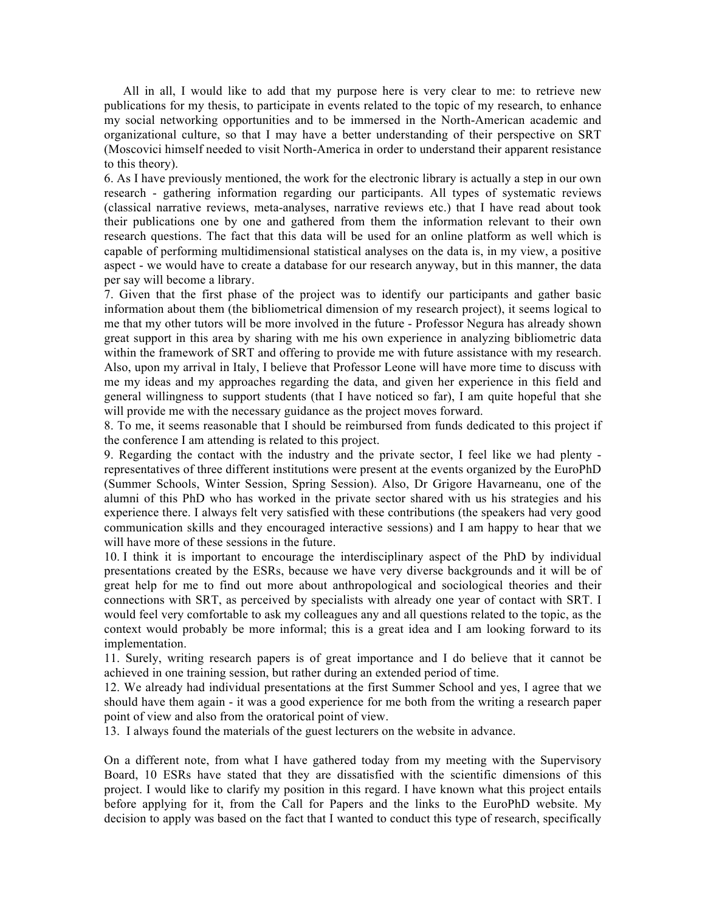All in all, I would like to add that my purpose here is very clear to me: to retrieve new publications for my thesis, to participate in events related to the topic of my research, to enhance my social networking opportunities and to be immersed in the North-American academic and organizational culture, so that I may have a better understanding of their perspective on SRT (Moscovici himself needed to visit North-America in order to understand their apparent resistance to this theory).

6. As I have previously mentioned, the work for the electronic library is actually a step in our own research - gathering information regarding our participants. All types of systematic reviews (classical narrative reviews, meta-analyses, narrative reviews etc.) that I have read about took their publications one by one and gathered from them the information relevant to their own research questions. The fact that this data will be used for an online platform as well which is capable of performing multidimensional statistical analyses on the data is, in my view, a positive aspect - we would have to create a database for our research anyway, but in this manner, the data per say will become a library.

7. Given that the first phase of the project was to identify our participants and gather basic information about them (the bibliometrical dimension of my research project), it seems logical to me that my other tutors will be more involved in the future - Professor Negura has already shown great support in this area by sharing with me his own experience in analyzing bibliometric data within the framework of SRT and offering to provide me with future assistance with my research. Also, upon my arrival in Italy, I believe that Professor Leone will have more time to discuss with me my ideas and my approaches regarding the data, and given her experience in this field and general willingness to support students (that I have noticed so far), I am quite hopeful that she will provide me with the necessary guidance as the project moves forward.

8. To me, it seems reasonable that I should be reimbursed from funds dedicated to this project if the conference I am attending is related to this project.

9. Regarding the contact with the industry and the private sector, I feel like we had plenty representatives of three different institutions were present at the events organized by the EuroPhD (Summer Schools, Winter Session, Spring Session). Also, Dr Grigore Havarneanu, one of the alumni of this PhD who has worked in the private sector shared with us his strategies and his experience there. I always felt very satisfied with these contributions (the speakers had very good communication skills and they encouraged interactive sessions) and I am happy to hear that we will have more of these sessions in the future.

10. I think it is important to encourage the interdisciplinary aspect of the PhD by individual presentations created by the ESRs, because we have very diverse backgrounds and it will be of great help for me to find out more about anthropological and sociological theories and their connections with SRT, as perceived by specialists with already one year of contact with SRT. I would feel very comfortable to ask my colleagues any and all questions related to the topic, as the context would probably be more informal; this is a great idea and I am looking forward to its implementation.

11. Surely, writing research papers is of great importance and I do believe that it cannot be achieved in one training session, but rather during an extended period of time.

12. We already had individual presentations at the first Summer School and yes, I agree that we should have them again - it was a good experience for me both from the writing a research paper point of view and also from the oratorical point of view.

13. I always found the materials of the guest lecturers on the website in advance.

On a different note, from what I have gathered today from my meeting with the Supervisory Board, 10 ESRs have stated that they are dissatisfied with the scientific dimensions of this project. I would like to clarify my position in this regard. I have known what this project entails before applying for it, from the Call for Papers and the links to the EuroPhD website. My decision to apply was based on the fact that I wanted to conduct this type of research, specifically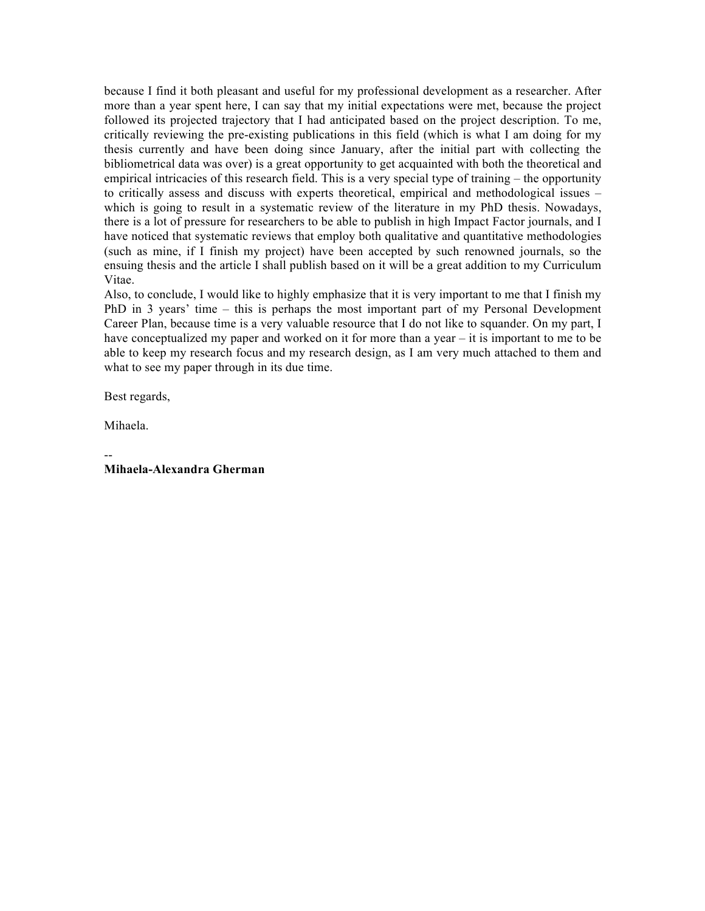because I find it both pleasant and useful for my professional development as a researcher. After more than a year spent here, I can say that my initial expectations were met, because the project followed its projected trajectory that I had anticipated based on the project description. To me, critically reviewing the pre-existing publications in this field (which is what I am doing for my thesis currently and have been doing since January, after the initial part with collecting the bibliometrical data was over) is a great opportunity to get acquainted with both the theoretical and empirical intricacies of this research field. This is a very special type of training – the opportunity to critically assess and discuss with experts theoretical, empirical and methodological issues – which is going to result in a systematic review of the literature in my PhD thesis. Nowadays, there is a lot of pressure for researchers to be able to publish in high Impact Factor journals, and I have noticed that systematic reviews that employ both qualitative and quantitative methodologies (such as mine, if I finish my project) have been accepted by such renowned journals, so the ensuing thesis and the article I shall publish based on it will be a great addition to my Curriculum Vitae.

Also, to conclude, I would like to highly emphasize that it is very important to me that I finish my PhD in 3 years' time – this is perhaps the most important part of my Personal Development Career Plan, because time is a very valuable resource that I do not like to squander. On my part, I have conceptualized my paper and worked on it for more than a year – it is important to me to be able to keep my research focus and my research design, as I am very much attached to them and what to see my paper through in its due time.

Best regards,

Mihaela.

-- **Mihaela-Alexandra Gherman**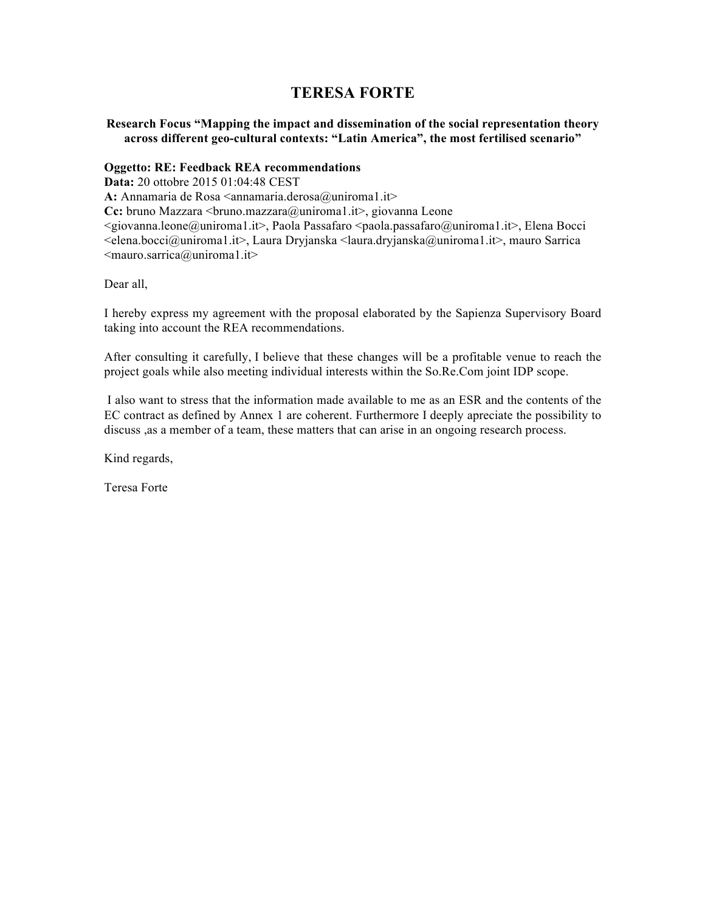# **TERESA FORTE**

**Research Focus "Mapping the impact and dissemination of the social representation theory across different geo-cultural contexts: "Latin America", the most fertilised scenario"**

### **Oggetto: RE: Feedback REA recommendations**

**Data:** 20 ottobre 2015 01:04:48 CEST A: Annamaria de Rosa <annamaria.derosa@uniroma1.it> Cc: bruno Mazzara <bruno.mazzara@uniroma1.it>, giovanna Leone <giovanna.leone@uniroma1.it>, Paola Passafaro <paola.passafaro@uniroma1.it>, Elena Bocci <elena.bocci@uniroma1.it>, Laura Dryjanska <laura.dryjanska@uniroma1.it>, mauro Sarrica  $\leq$ mauro.sarrica@uniroma1.it>

Dear all,

I hereby express my agreement with the proposal elaborated by the Sapienza Supervisory Board taking into account the REA recommendations.

After consulting it carefully, I believe that these changes will be a profitable venue to reach the project goals while also meeting individual interests within the So.Re.Com joint IDP scope.

I also want to stress that the information made available to me as an ESR and the contents of the EC contract as defined by Annex 1 are coherent. Furthermore I deeply apreciate the possibility to discuss ,as a member of a team, these matters that can arise in an ongoing research process.

Kind regards,

Teresa Forte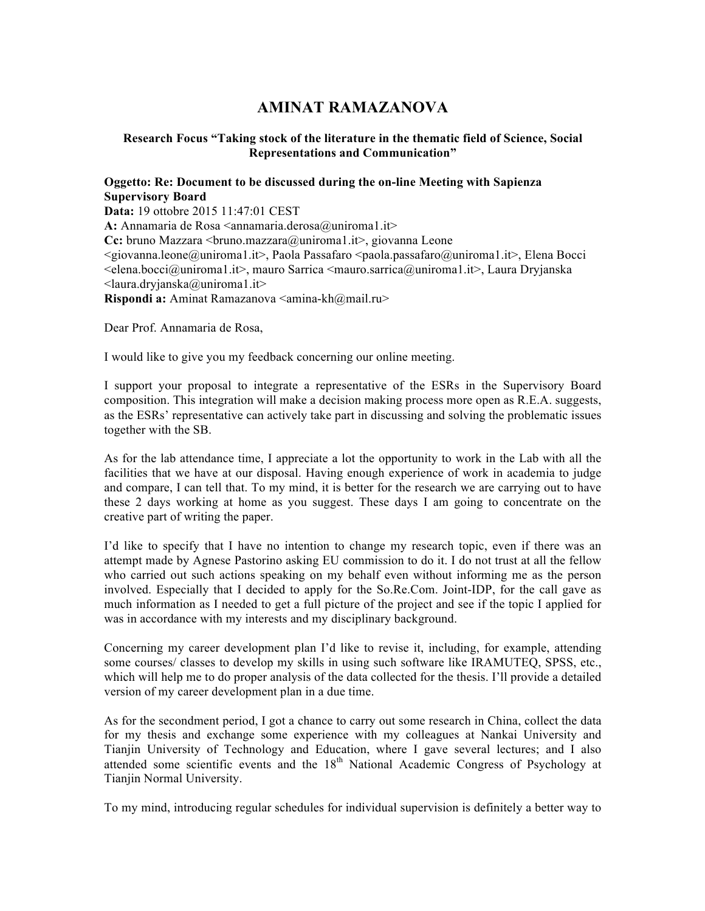# **AMINAT RAMAZANOVA**

### **Research Focus "Taking stock of the literature in the thematic field of Science, Social Representations and Communication"**

## **Oggetto: Re: Document to be discussed during the on-line Meeting with Sapienza Supervisory Board**

**Data:** 19 ottobre 2015 11:47:01 CEST

A: Annamaria de Rosa <annamaria.derosa@uniroma1.it> Cc: bruno Mazzara <bruno.mazzara@uniroma1.it>, giovanna Leone <giovanna.leone@uniroma1.it>, Paola Passafaro <paola.passafaro@uniroma1.it>, Elena Bocci  $\le$ elena.bocci@uniroma1.it>, mauro Sarrica  $\le$ mauro.sarrica@uniroma1.it>, Laura Dryjanska  $\leq$ laura.dryjanska@uniroma1.it> Rispondi a: Aminat Ramazanova <amina-kh@mail.ru>

Dear Prof. Annamaria de Rosa,

I would like to give you my feedback concerning our online meeting.

I support your proposal to integrate a representative of the ESRs in the Supervisory Board composition. This integration will make a decision making process more open as R.E.A. suggests, as the ESRs' representative can actively take part in discussing and solving the problematic issues together with the SB.

As for the lab attendance time, I appreciate a lot the opportunity to work in the Lab with all the facilities that we have at our disposal. Having enough experience of work in academia to judge and compare, I can tell that. To my mind, it is better for the research we are carrying out to have these 2 days working at home as you suggest. These days I am going to concentrate on the creative part of writing the paper.

I'd like to specify that I have no intention to change my research topic, even if there was an attempt made by Agnese Pastorino asking EU commission to do it. I do not trust at all the fellow who carried out such actions speaking on my behalf even without informing me as the person involved. Especially that I decided to apply for the So.Re.Com. Joint-IDP, for the call gave as much information as I needed to get a full picture of the project and see if the topic I applied for was in accordance with my interests and my disciplinary background.

Concerning my career development plan I'd like to revise it, including, for example, attending some courses/ classes to develop my skills in using such software like IRAMUTEQ, SPSS, etc., which will help me to do proper analysis of the data collected for the thesis. I'll provide a detailed version of my career development plan in a due time.

As for the secondment period, I got a chance to carry out some research in China, collect the data for my thesis and exchange some experience with my colleagues at Nankai University and Tianjin University of Technology and Education, where I gave several lectures; and I also attended some scientific events and the 18<sup>th</sup> National Academic Congress of Psychology at Tianjin Normal University.

To my mind, introducing regular schedules for individual supervision is definitely a better way to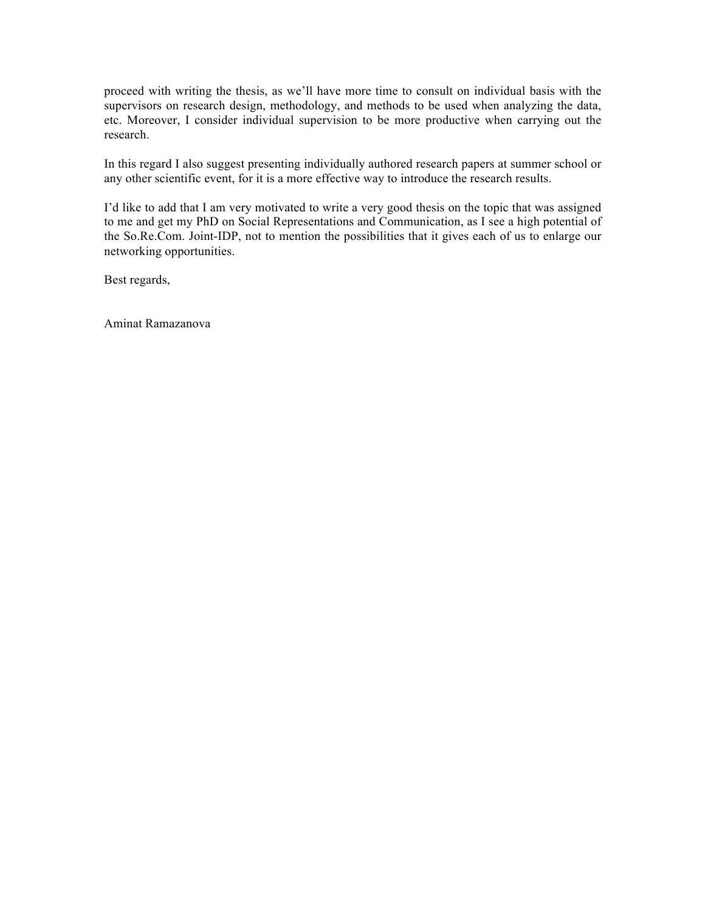proceed with writing the thesis, as we'll have more time to consult on individual basis with the supervisors on research design, methodology, and methods to be used when analyzing the data, etc. Moreover, I consider individual supervision to be more productive when carrying out the research.

In this regard I also suggest presenting individually authored research papers at summer school or any other scientific event, for it is a more effective way to introduce the research results.

I'd like to add that I am very motivated to write a very good thesis on the topic that was assigned to me and get my PhD on Social Representations and Communication, as I see a high potential of the So.Re.Com. Joint-IDP, not to mention the possibilities that it gives each of us to enlarge our networking opportunities.

Best regards,

Aminat Ramazanova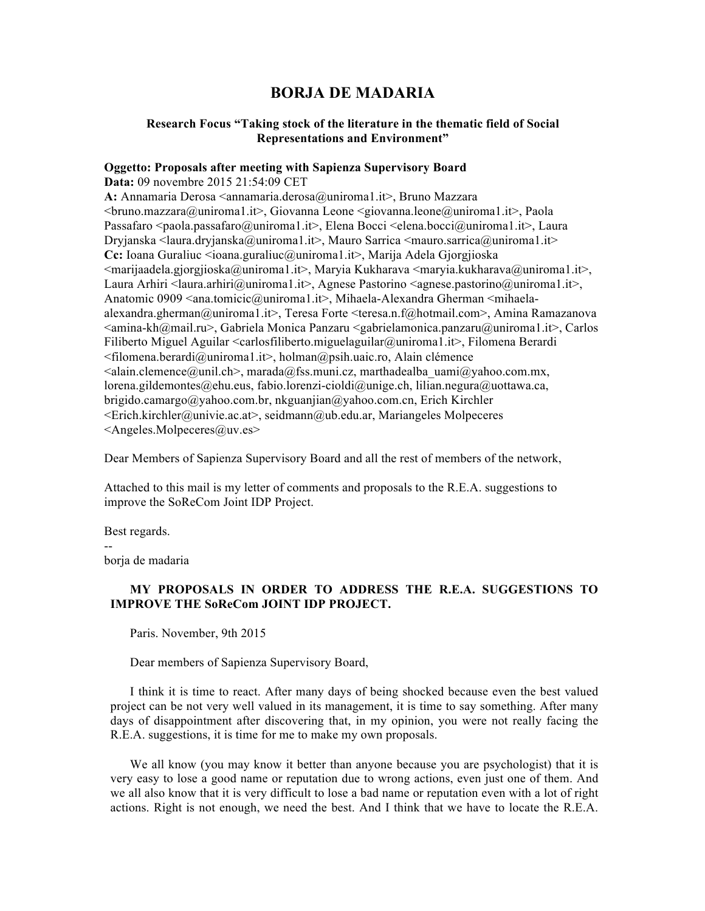# **BORJA DE MADARIA**

### **Research Focus "Taking stock of the literature in the thematic field of Social Representations and Environment"**

# **Oggetto: Proposals after meeting with Sapienza Supervisory Board**

**Data:** 09 novembre 2015 21:54:09 CET **A:** Annamaria Derosa <annamaria.derosa@uniroma1.it>, Bruno Mazzara <bruno.mazzara@uniroma1.it>, Giovanna Leone <giovanna.leone@uniroma1.it>, Paola Passafaro  $\leq$ paola.passafaro@uniroma1.it>, Elena Bocci  $\leq$ elena.bocci@uniroma1.it>, Laura Dryjanska <laura.dryjanska@uniroma1.it>, Mauro Sarrica <mauro.sarrica@uniroma1.it> **Cc:** Ioana Guraliuc <ioana.guraliuc@uniroma1.it>, Marija Adela Gjorgjioska  $\leq$ marijaadela.gjorgjioska@uniroma1.it>, Maryia Kukharava  $\leq$ maryia.kukharava@uniroma1.it>, Laura Arhiri <laura.arhiri@uniroma1.it>, Agnese Pastorino <agnese.pastorino@uniroma1.it>, Anatomic 0909 <ana.tomicic@uniroma1.it>, Mihaela-Alexandra Gherman <mihaelaalexandra.gherman@uniroma1.it>, Teresa Forte <teresa.n.f@hotmail.com>, Amina Ramazanova  $\leq$ amina-kh@mail.ru>, Gabriela Monica Panzaru  $\leq$ abrielamonica.panzaru@uniroma1.it>, Carlos Filiberto Miguel Aguilar <carlosfiliberto.miguelaguilar@uniroma1.it>, Filomena Berardi  $\leq$ filomena.berardi@uniroma1.it>, holman@psih.uaic.ro, Alain clémence  $\leq$ alain.clemence@unil.ch>, marada@fss.muni.cz, marthadealba uami@yahoo.com.mx, lorena.gildemontes@ehu.eus, fabio.lorenzi-cioldi@unige.ch, lilian.negura@uottawa.ca, brigido.camargo@yahoo.com.br, nkguanjian@yahoo.com.cn, Erich Kirchler <Erich.kirchler@univie.ac.at>, seidmann@ub.edu.ar, Mariangeles Molpeceres <Angeles.Molpeceres@uv.es>

Dear Members of Sapienza Supervisory Board and all the rest of members of the network,

Attached to this mail is my letter of comments and proposals to the R.E.A. suggestions to improve the SoReCom Joint IDP Project.

Best regards.

--

borja de madaria

## **MY PROPOSALS IN ORDER TO ADDRESS THE R.E.A. SUGGESTIONS TO IMPROVE THE SoReCom JOINT IDP PROJECT.**

Paris. November, 9th 2015

Dear members of Sapienza Supervisory Board,

I think it is time to react. After many days of being shocked because even the best valued project can be not very well valued in its management, it is time to say something. After many days of disappointment after discovering that, in my opinion, you were not really facing the R.E.A. suggestions, it is time for me to make my own proposals.

We all know (you may know it better than anyone because you are psychologist) that it is very easy to lose a good name or reputation due to wrong actions, even just one of them. And we all also know that it is very difficult to lose a bad name or reputation even with a lot of right actions. Right is not enough, we need the best. And I think that we have to locate the R.E.A.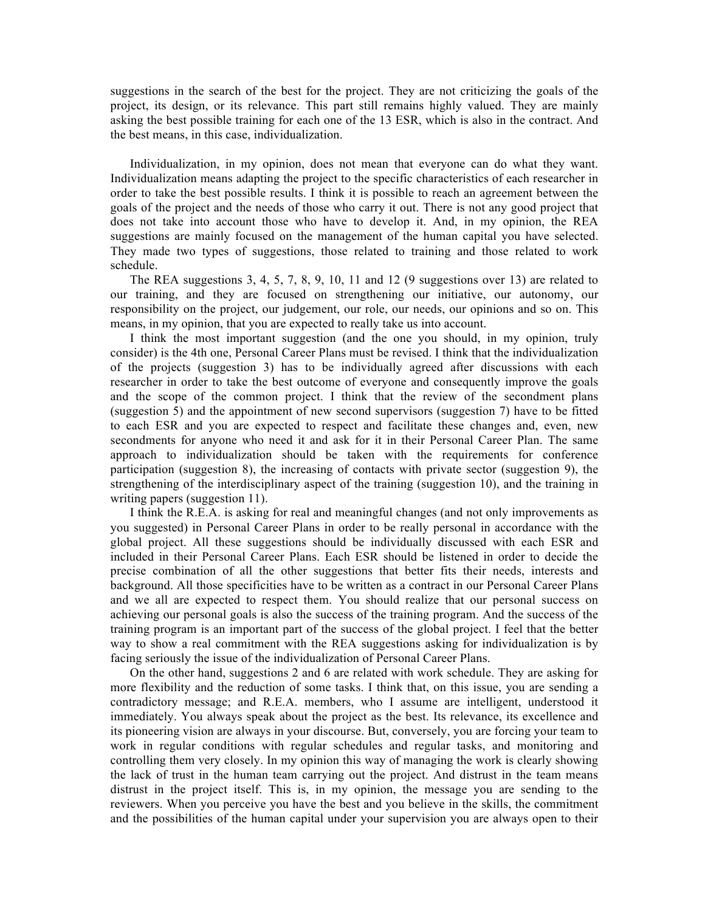suggestions in the search of the best for the project. They are not criticizing the goals of the project, its design, or its relevance. This part still remains highly valued. They are mainly asking the best possible training for each one of the 13 ESR, which is also in the contract. And the best means, in this case, individualization.

Individualization, in my opinion, does not mean that everyone can do what they want. Individualization means adapting the project to the specific characteristics of each researcher in order to take the best possible results. I think it is possible to reach an agreement between the goals of the project and the needs of those who carry it out. There is not any good project that does not take into account those who have to develop it. And, in my opinion, the REA suggestions are mainly focused on the management of the human capital you have selected. They made two types of suggestions, those related to training and those related to work schedule.

The REA suggestions 3, 4, 5, 7, 8, 9, 10, 11 and 12 (9 suggestions over 13) are related to our training, and they are focused on strengthening our initiative, our autonomy, our responsibility on the project, our judgement, our role, our needs, our opinions and so on. This means, in my opinion, that you are expected to really take us into account.

I think the most important suggestion (and the one you should, in my opinion, truly consider) is the 4th one, Personal Career Plans must be revised. I think that the individualization of the projects (suggestion 3) has to be individually agreed after discussions with each researcher in order to take the best outcome of everyone and consequently improve the goals and the scope of the common project. I think that the review of the secondment plans (suggestion 5) and the appointment of new second supervisors (suggestion 7) have to be fitted to each ESR and you are expected to respect and facilitate these changes and, even, new secondments for anyone who need it and ask for it in their Personal Career Plan. The same approach to individualization should be taken with the requirements for conference participation (suggestion 8), the increasing of contacts with private sector (suggestion 9), the strengthening of the interdisciplinary aspect of the training (suggestion 10), and the training in writing papers (suggestion 11).

I think the R.E.A. is asking for real and meaningful changes (and not only improvements as you suggested) in Personal Career Plans in order to be really personal in accordance with the global project. All these suggestions should be individually discussed with each ESR and included in their Personal Career Plans. Each ESR should be listened in order to decide the precise combination of all the other suggestions that better fits their needs, interests and background. All those specificities have to be written as a contract in our Personal Career Plans and we all are expected to respect them. You should realize that our personal success on achieving our personal goals is also the success of the training program. And the success of the training program is an important part of the success of the global project. I feel that the better way to show a real commitment with the REA suggestions asking for individualization is by facing seriously the issue of the individualization of Personal Career Plans.

On the other hand, suggestions 2 and 6 are related with work schedule. They are asking for more flexibility and the reduction of some tasks. I think that, on this issue, you are sending a contradictory message; and R.E.A. members, who I assume are intelligent, understood it immediately. You always speak about the project as the best. Its relevance, its excellence and its pioneering vision are always in your discourse. But, conversely, you are forcing your team to work in regular conditions with regular schedules and regular tasks, and monitoring and controlling them very closely. In my opinion this way of managing the work is clearly showing the lack of trust in the human team carrying out the project. And distrust in the team means distrust in the project itself. This is, in my opinion, the message you are sending to the reviewers. When you perceive you have the best and you believe in the skills, the commitment and the possibilities of the human capital under your supervision you are always open to their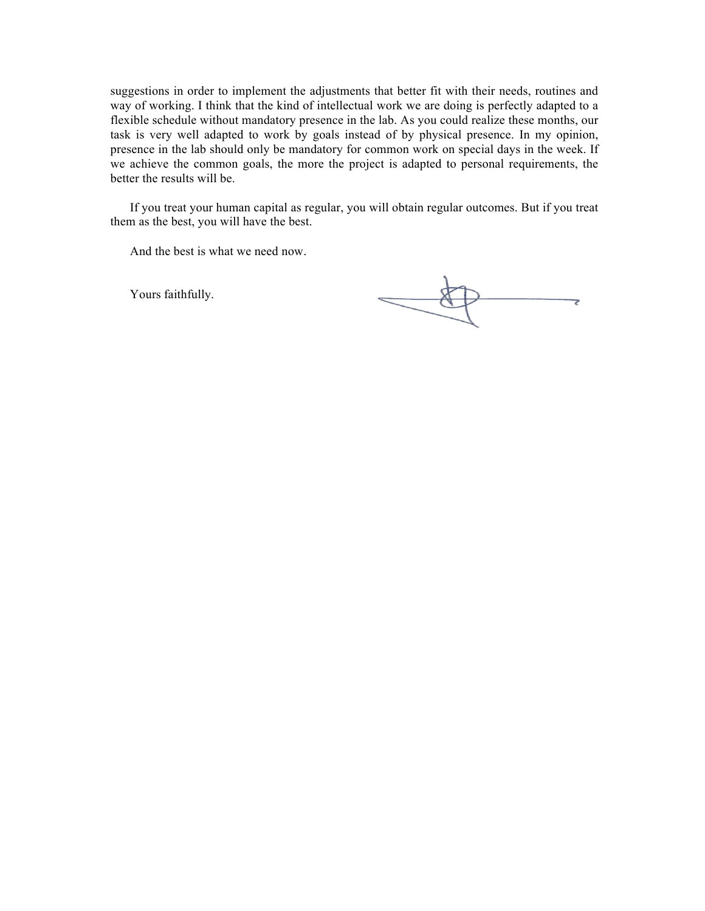suggestions in order to implement the adjustments that better fit with their needs, routines and way of working. I think that the kind of intellectual work we are doing is perfectly adapted to a flexible schedule without mandatory presence in the lab. As you could realize these months, our task is very well adapted to work by goals instead of by physical presence. In my opinion, presence in the lab should only be mandatory for common work on special days in the week. If we achieve the common goals, the more the project is adapted to personal requirements, the better the results will be.

If you treat your human capital as regular, you will obtain regular outcomes. But if you treat them as the best, you will have the best.

And the best is what we need now.

Yours faithfully.

7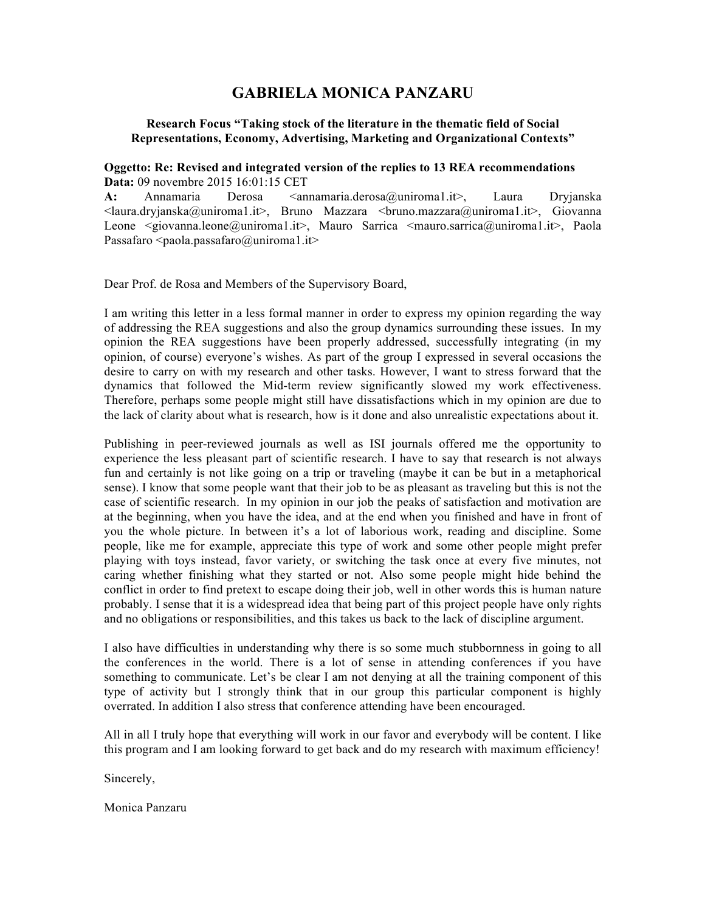# **GABRIELA MONICA PANZARU**

### **Research Focus "Taking stock of the literature in the thematic field of Social Representations, Economy, Advertising, Marketing and Organizational Contexts"**

### **Oggetto: Re: Revised and integrated version of the replies to 13 REA recommendations Data:** 09 novembre 2015 16:01:15 CET

A: Annamaria Derosa <annamaria.derosa@uniroma1.it>, Laura Dryjanska  $\langle$ laura.dryjanska@uniroma1.it>, Bruno Mazzara  $\langle$ bruno.mazzara@uniroma1.it>, Giovanna Leone <giovanna.leone@uniroma1.it>, Mauro Sarrica <mauro.sarrica@uniroma1.it>, Paola Passafaro <paola.passafaro@uniroma1.it>

Dear Prof. de Rosa and Members of the Supervisory Board,

I am writing this letter in a less formal manner in order to express my opinion regarding the way of addressing the REA suggestions and also the group dynamics surrounding these issues. In my opinion the REA suggestions have been properly addressed, successfully integrating (in my opinion, of course) everyone's wishes. As part of the group I expressed in several occasions the desire to carry on with my research and other tasks. However, I want to stress forward that the dynamics that followed the Mid-term review significantly slowed my work effectiveness. Therefore, perhaps some people might still have dissatisfactions which in my opinion are due to the lack of clarity about what is research, how is it done and also unrealistic expectations about it.

Publishing in peer-reviewed journals as well as ISI journals offered me the opportunity to experience the less pleasant part of scientific research. I have to say that research is not always fun and certainly is not like going on a trip or traveling (maybe it can be but in a metaphorical sense). I know that some people want that their job to be as pleasant as traveling but this is not the case of scientific research. In my opinion in our job the peaks of satisfaction and motivation are at the beginning, when you have the idea, and at the end when you finished and have in front of you the whole picture. In between it's a lot of laborious work, reading and discipline. Some people, like me for example, appreciate this type of work and some other people might prefer playing with toys instead, favor variety, or switching the task once at every five minutes, not caring whether finishing what they started or not. Also some people might hide behind the conflict in order to find pretext to escape doing their job, well in other words this is human nature probably. I sense that it is a widespread idea that being part of this project people have only rights and no obligations or responsibilities, and this takes us back to the lack of discipline argument.

I also have difficulties in understanding why there is so some much stubbornness in going to all the conferences in the world. There is a lot of sense in attending conferences if you have something to communicate. Let's be clear I am not denying at all the training component of this type of activity but I strongly think that in our group this particular component is highly overrated. In addition I also stress that conference attending have been encouraged.

All in all I truly hope that everything will work in our favor and everybody will be content. I like this program and I am looking forward to get back and do my research with maximum efficiency!

Sincerely,

Monica Panzaru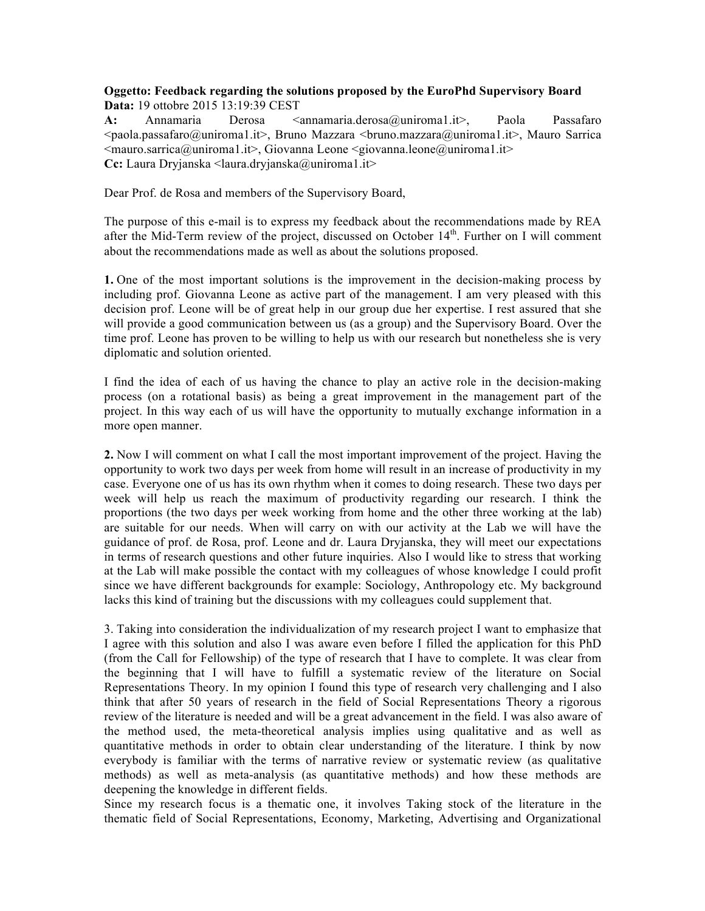## **Oggetto: Feedback regarding the solutions proposed by the EuroPhd Supervisory Board Data:** 19 ottobre 2015 13:19:39 CEST

A: Annamaria Derosa <annamaria.derosa@uniroma1.it>, Paola Passafaro <paola.passafaro@uniroma1.it>, Bruno Mazzara <bruno.mazzara@uniroma1.it>, Mauro Sarrica  $\leq$ mauro.sarrica@uniroma1.it>, Giovanna Leone  $\leq$ giovanna.leone@uniroma1.it> **Cc:** Laura Dryjanska <laura.dryjanska@uniroma1.it>

Dear Prof. de Rosa and members of the Supervisory Board,

The purpose of this e-mail is to express my feedback about the recommendations made by REA after the Mid-Term review of the project, discussed on October 14<sup>th</sup>. Further on I will comment about the recommendations made as well as about the solutions proposed.

**1.** One of the most important solutions is the improvement in the decision-making process by including prof. Giovanna Leone as active part of the management. I am very pleased with this decision prof. Leone will be of great help in our group due her expertise. I rest assured that she will provide a good communication between us (as a group) and the Supervisory Board. Over the time prof. Leone has proven to be willing to help us with our research but nonetheless she is very diplomatic and solution oriented.

I find the idea of each of us having the chance to play an active role in the decision-making process (on a rotational basis) as being a great improvement in the management part of the project. In this way each of us will have the opportunity to mutually exchange information in a more open manner.

**2.** Now I will comment on what I call the most important improvement of the project. Having the opportunity to work two days per week from home will result in an increase of productivity in my case. Everyone one of us has its own rhythm when it comes to doing research. These two days per week will help us reach the maximum of productivity regarding our research. I think the proportions (the two days per week working from home and the other three working at the lab) are suitable for our needs. When will carry on with our activity at the Lab we will have the guidance of prof. de Rosa, prof. Leone and dr. Laura Dryjanska, they will meet our expectations in terms of research questions and other future inquiries. Also I would like to stress that working at the Lab will make possible the contact with my colleagues of whose knowledge I could profit since we have different backgrounds for example: Sociology, Anthropology etc. My background lacks this kind of training but the discussions with my colleagues could supplement that.

3. Taking into consideration the individualization of my research project I want to emphasize that I agree with this solution and also I was aware even before I filled the application for this PhD (from the Call for Fellowship) of the type of research that I have to complete. It was clear from the beginning that I will have to fulfill a systematic review of the literature on Social Representations Theory. In my opinion I found this type of research very challenging and I also think that after 50 years of research in the field of Social Representations Theory a rigorous review of the literature is needed and will be a great advancement in the field. I was also aware of the method used, the meta-theoretical analysis implies using qualitative and as well as quantitative methods in order to obtain clear understanding of the literature. I think by now everybody is familiar with the terms of narrative review or systematic review (as qualitative methods) as well as meta-analysis (as quantitative methods) and how these methods are deepening the knowledge in different fields.

Since my research focus is a thematic one, it involves Taking stock of the literature in the thematic field of Social Representations, Economy, Marketing, Advertising and Organizational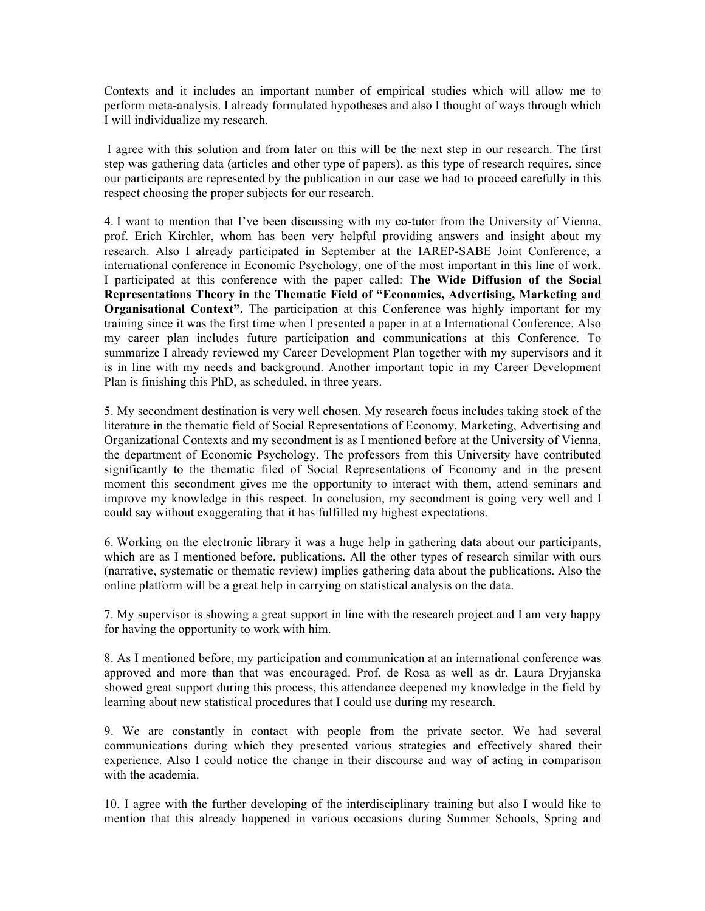Contexts and it includes an important number of empirical studies which will allow me to perform meta-analysis. I already formulated hypotheses and also I thought of ways through which I will individualize my research.

I agree with this solution and from later on this will be the next step in our research. The first step was gathering data (articles and other type of papers), as this type of research requires, since our participants are represented by the publication in our case we had to proceed carefully in this respect choosing the proper subjects for our research.

4. I want to mention that I've been discussing with my co-tutor from the University of Vienna, prof. Erich Kirchler, whom has been very helpful providing answers and insight about my research. Also I already participated in September at the IAREP-SABE Joint Conference, a international conference in Economic Psychology, one of the most important in this line of work. I participated at this conference with the paper called: **The Wide Diffusion of the Social Representations Theory in the Thematic Field of "Economics, Advertising, Marketing and Organisational Context".** The participation at this Conference was highly important for my training since it was the first time when I presented a paper in at a International Conference. Also my career plan includes future participation and communications at this Conference. To summarize I already reviewed my Career Development Plan together with my supervisors and it is in line with my needs and background. Another important topic in my Career Development Plan is finishing this PhD, as scheduled, in three years.

5. My secondment destination is very well chosen. My research focus includes taking stock of the literature in the thematic field of Social Representations of Economy, Marketing, Advertising and Organizational Contexts and my secondment is as I mentioned before at the University of Vienna, the department of Economic Psychology. The professors from this University have contributed significantly to the thematic filed of Social Representations of Economy and in the present moment this secondment gives me the opportunity to interact with them, attend seminars and improve my knowledge in this respect. In conclusion, my secondment is going very well and I could say without exaggerating that it has fulfilled my highest expectations.

6. Working on the electronic library it was a huge help in gathering data about our participants, which are as I mentioned before, publications. All the other types of research similar with ours (narrative, systematic or thematic review) implies gathering data about the publications. Also the online platform will be a great help in carrying on statistical analysis on the data.

7. My supervisor is showing a great support in line with the research project and I am very happy for having the opportunity to work with him.

8. As I mentioned before, my participation and communication at an international conference was approved and more than that was encouraged. Prof. de Rosa as well as dr. Laura Dryjanska showed great support during this process, this attendance deepened my knowledge in the field by learning about new statistical procedures that I could use during my research.

9. We are constantly in contact with people from the private sector. We had several communications during which they presented various strategies and effectively shared their experience. Also I could notice the change in their discourse and way of acting in comparison with the academia.

10. I agree with the further developing of the interdisciplinary training but also I would like to mention that this already happened in various occasions during Summer Schools, Spring and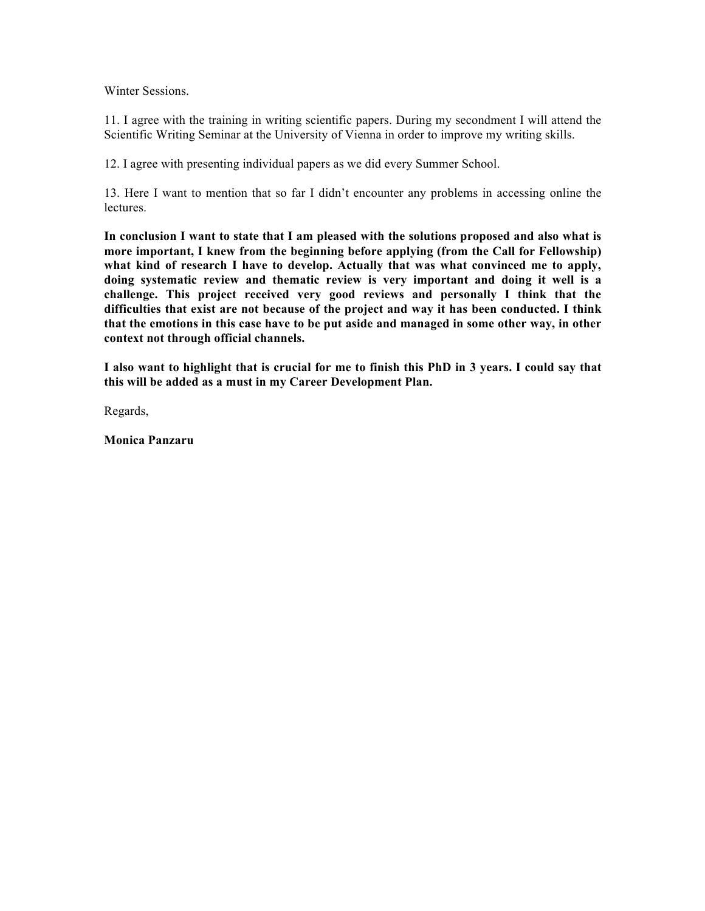Winter Sessions.

11. I agree with the training in writing scientific papers. During my secondment I will attend the Scientific Writing Seminar at the University of Vienna in order to improve my writing skills.

12. I agree with presenting individual papers as we did every Summer School.

13. Here I want to mention that so far I didn't encounter any problems in accessing online the lectures.

**In conclusion I want to state that I am pleased with the solutions proposed and also what is more important, I knew from the beginning before applying (from the Call for Fellowship) what kind of research I have to develop. Actually that was what convinced me to apply, doing systematic review and thematic review is very important and doing it well is a challenge. This project received very good reviews and personally I think that the difficulties that exist are not because of the project and way it has been conducted. I think that the emotions in this case have to be put aside and managed in some other way, in other context not through official channels.**

**I also want to highlight that is crucial for me to finish this PhD in 3 years. I could say that this will be added as a must in my Career Development Plan.**

Regards,

**Monica Panzaru**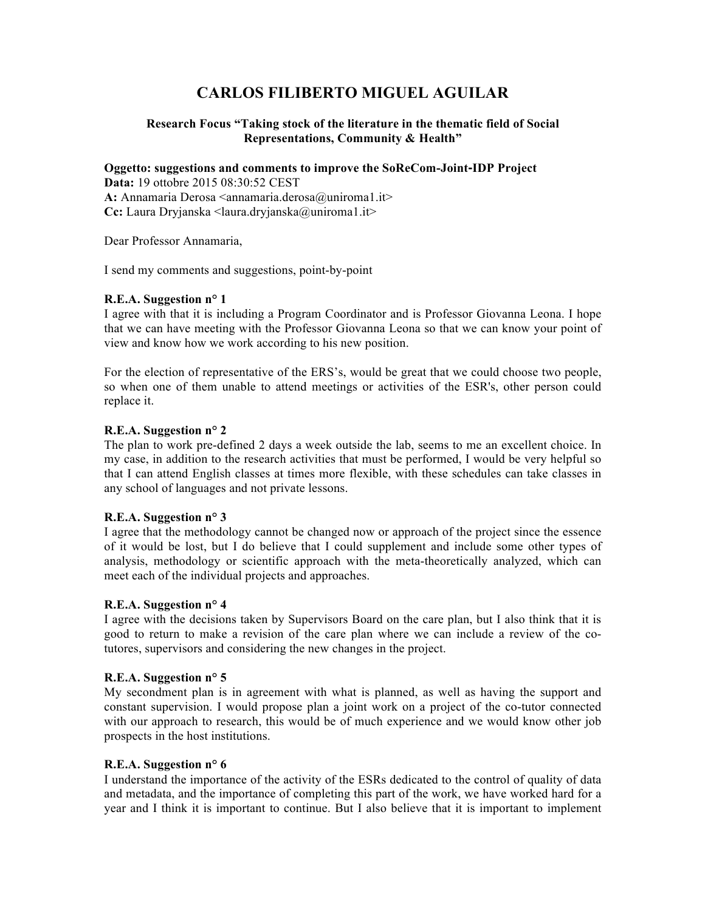# **CARLOS FILIBERTO MIGUEL AGUILAR**

## **Research Focus "Taking stock of the literature in the thematic field of Social Representations, Community & Health"**

**Oggetto: suggestions and comments to improve the SoReCom-Joint‐IDP Project**

**Data:** 19 ottobre 2015 08:30:52 CEST A: Annamaria Derosa <annamaria.derosa@uniroma1.it> **Cc:** Laura Dryjanska <laura.dryjanska@uniroma1.it>

Dear Professor Annamaria,

I send my comments and suggestions, point-by-point

## **R.E.A. Suggestion n° 1**

I agree with that it is including a Program Coordinator and is Professor Giovanna Leona. I hope that we can have meeting with the Professor Giovanna Leona so that we can know your point of view and know how we work according to his new position.

For the election of representative of the ERS's, would be great that we could choose two people, so when one of them unable to attend meetings or activities of the ESR's, other person could replace it.

## **R.E.A. Suggestion n° 2**

The plan to work pre-defined 2 days a week outside the lab, seems to me an excellent choice. In my case, in addition to the research activities that must be performed, I would be very helpful so that I can attend English classes at times more flexible, with these schedules can take classes in any school of languages and not private lessons.

## **R.E.A. Suggestion n° 3**

I agree that the methodology cannot be changed now or approach of the project since the essence of it would be lost, but I do believe that I could supplement and include some other types of analysis, methodology or scientific approach with the meta-theoretically analyzed, which can meet each of the individual projects and approaches.

## **R.E.A. Suggestion n° 4**

I agree with the decisions taken by Supervisors Board on the care plan, but I also think that it is good to return to make a revision of the care plan where we can include a review of the cotutores, supervisors and considering the new changes in the project.

## **R.E.A. Suggestion n° 5**

My secondment plan is in agreement with what is planned, as well as having the support and constant supervision. I would propose plan a joint work on a project of the co-tutor connected with our approach to research, this would be of much experience and we would know other job prospects in the host institutions.

### **R.E.A. Suggestion n° 6**

I understand the importance of the activity of the ESRs dedicated to the control of quality of data and metadata, and the importance of completing this part of the work, we have worked hard for a year and I think it is important to continue. But I also believe that it is important to implement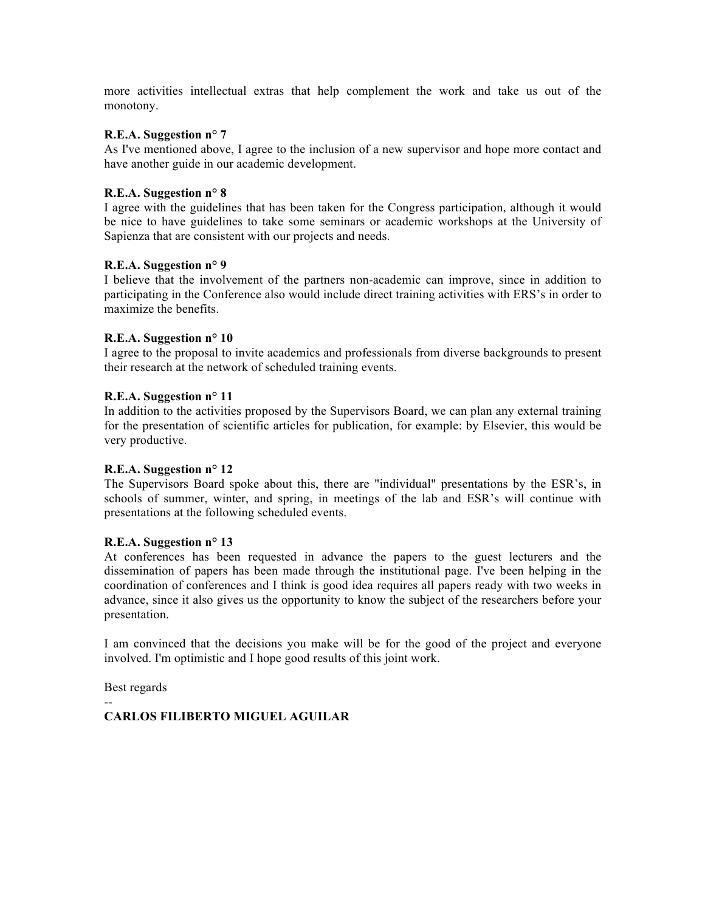more activities intellectual extras that help complement the work and take us out of the monotony.

### **R.E.A. Suggestion n° 7**

As I've mentioned above, I agree to the inclusion of a new supervisor and hope more contact and have another guide in our academic development.

### **R.E.A. Suggestion n° 8**

I agree with the guidelines that has been taken for the Congress participation, although it would be nice to have guidelines to take some seminars or academic workshops at the University of Sapienza that are consistent with our projects and needs.

### **R.E.A. Suggestion n° 9**

I believe that the involvement of the partners non-academic can improve, since in addition to participating in the Conference also would include direct training activities with ERS's in order to maximize the benefits.

## **R.E.A. Suggestion n° 10**

I agree to the proposal to invite academics and professionals from diverse backgrounds to present their research at the network of scheduled training events.

### **R.E.A. Suggestion n° 11**

In addition to the activities proposed by the Supervisors Board, we can plan any external training for the presentation of scientific articles for publication, for example: by Elsevier, this would be very productive.

### **R.E.A. Suggestion n° 12**

The Supervisors Board spoke about this, there are "individual" presentations by the ESR's, in schools of summer, winter, and spring, in meetings of the lab and ESR's will continue with presentations at the following scheduled events.

### **R.E.A. Suggestion n° 13**

At conferences has been requested in advance the papers to the guest lecturers and the dissemination of papers has been made through the institutional page. I've been helping in the coordination of conferences and I think is good idea requires all papers ready with two weeks in advance, since it also gives us the opportunity to know the subject of the researchers before your presentation.

I am convinced that the decisions you make will be for the good of the project and everyone involved. I'm optimistic and I hope good results of this joint work.

Best regards

--

# **CARLOS FILIBERTO MIGUEL AGUILAR**